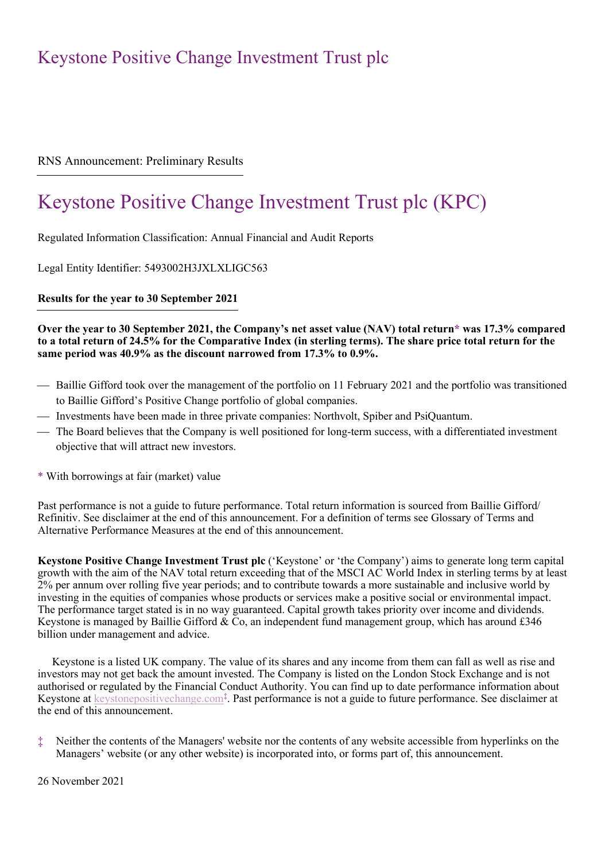## RNS Announcement: Preliminary Results

# Keystone Positive Change Investment Trust plc (KPC)

Regulated Information Classification: Annual Financial and Audit Reports

Legal Entity Identifier: 5493002H3JXLXLIGC563

**Results for the year to 30 September 2021**

### **Over the year to 30 September 2021, the Company's net asset value (NAV) total return\* was 17.3% compared to a total return of 24.5% for the Comparative Index (in sterling terms). The share price total return for the same period was 40.9% as the discount narrowed from 17.3% to 0.9%.**

- Baillie Gifford took over the management of the portfolio on 11 February 2021 and the portfolio was transitioned to Baillie Gifford's Positive Change portfolio of global companies.
- Investments have been made in three private companies: Northvolt, Spiber and PsiQuantum.
- The Board believes that the Company is well positioned for long-term success, with a differentiated investment objective that will attract new investors.
- \* With borrowings at fair (market) value

Past performance is not a guide to future performance. Total return information is sourced from Baillie Gifford/ Refinitiv. See disclaimer at the end of this announcement. For a definition of terms see Glossary of Terms and Alternative Performance Measures at the end of this announcement.

**Keystone Positive Change Investment Trust plc** ('Keystone' or 'the Company') aims to generate long term capital growth with the aim of the NAV total return exceeding that of the MSCI AC World Index in sterling terms by at least 2% per annum over rolling five year periods; and to contribute towards a more sustainable and inclusive world by investing in the equities of companies whose products or services make a positive social or environmental impact. The performance target stated is in no way guaranteed. Capital growth takes priority over income and dividends. Keystone is managed by Baillie Gifford & Co, an independent fund management group, which has around £346 billion under management and advice.

Keystone is a listed UK company. The value of its shares and any income from them can fall as well as rise and investors may not get back the amount invested. The Company is listed on the London Stock Exchange and is not authorised or regulated by the Financial Conduct Authority. You can find up to date performance information about Keystone at **keystonepositivechange.com<sup>‡</sup>**. Past performance is not a guide to future performance. See disclaimer at the end of this announcement.

‡ Neither the contents of the Managers' website nor the contents of any website accessible from hyperlinks on the Managers' website (or any other website) is incorporated into, or forms part of, this announcement.

26 November 2021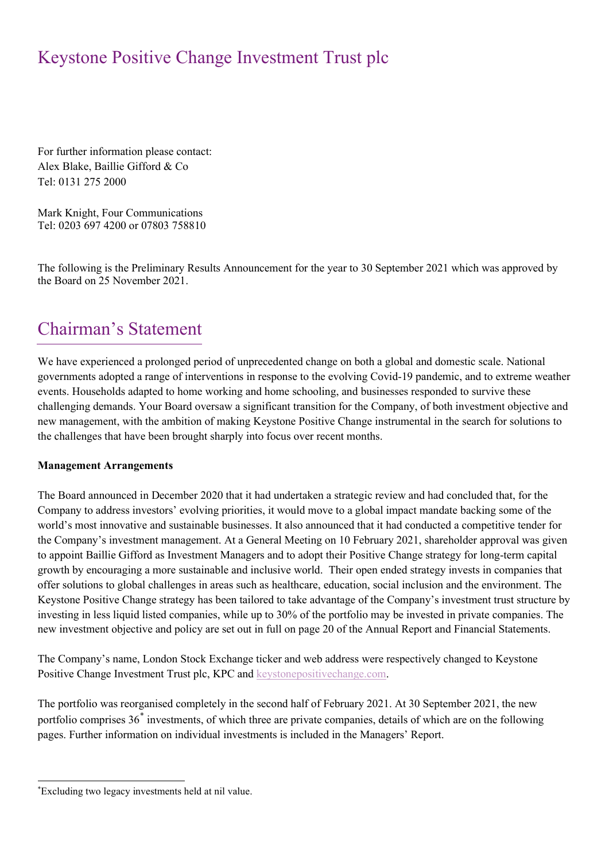For further information please contact: Alex Blake, Baillie Gifford & Co Tel: 0131 275 2000

Mark Knight, Four Communications Tel: 0203 697 4200 or 07803 758810

The following is the Preliminary Results Announcement for the year to 30 September 2021 which was approved by the Board on 25 November 2021.

# Chairman's Statement

We have experienced a prolonged period of unprecedented change on both a global and domestic scale. National governments adopted a range of interventions in response to the evolving Covid-19 pandemic, and to extreme weather events. Households adapted to home working and home schooling, and businesses responded to survive these challenging demands. Your Board oversaw a significant transition for the Company, of both investment objective and new management, with the ambition of making Keystone Positive Change instrumental in the search for solutions to the challenges that have been brought sharply into focus over recent months.

## **Management Arrangements**

The Board announced in December 2020 that it had undertaken a strategic review and had concluded that, for the Company to address investors' evolving priorities, it would move to a global impact mandate backing some of the world's most innovative and sustainable businesses. It also announced that it had conducted a competitive tender for the Company's investment management. At a General Meeting on 10 February 2021, shareholder approval was given to appoint Baillie Gifford as Investment Managers and to adopt their Positive Change strategy for long-term capital growth by encouraging a more sustainable and inclusive world. Their open ended strategy invests in companies that offer solutions to global challenges in areas such as healthcare, education, social inclusion and the environment. The Keystone Positive Change strategy has been tailored to take advantage of the Company's investment trust structure by investing in less liquid listed companies, while up to 30% of the portfolio may be invested in private companies. The new investment objective and policy are set out in full on page 20 of the Annual Report and Financial Statements.

The Company's name, London Stock Exchange ticker and web address were respectively changed to Keystone Positive Change Investment Trust plc, KPC an[d keystonepositivechange.com.](http://keystonepositivechange.com/)

The portfolio was reorganised completely in the second half of February 2021. At 30 September 2021, the new portfolio comprises 36[\\*](#page-1-0) investments, of which three are private companies, details of which are on the following pages. Further information on individual investments is included in the Managers' Report.

<span id="page-1-0"></span><sup>\*</sup> Excluding two legacy investments held at nil value.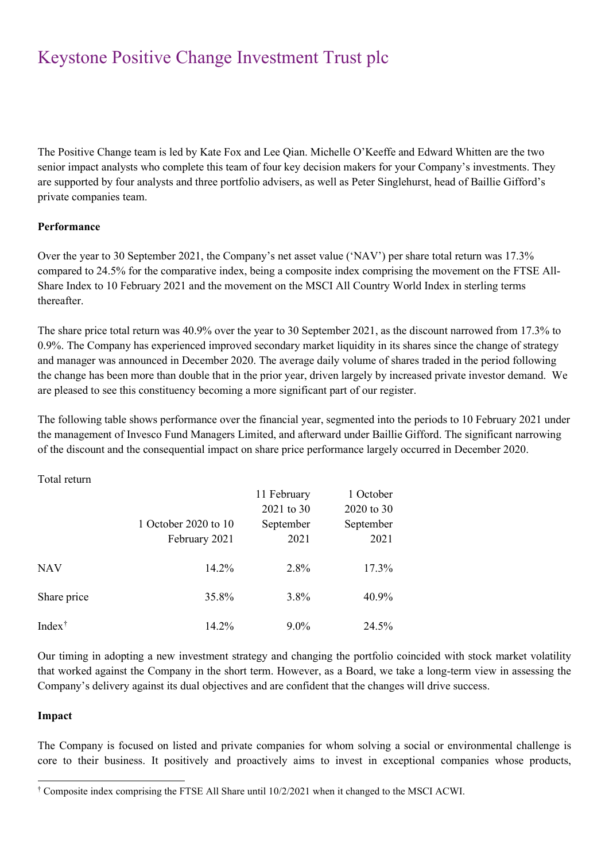The Positive Change team is led by Kate Fox and Lee Qian. Michelle O'Keeffe and Edward Whitten are the two senior impact analysts who complete this team of four key decision makers for your Company's investments. They are supported by four analysts and three portfolio advisers, as well as Peter Singlehurst, head of Baillie Gifford's private companies team.

## **Performance**

Over the year to 30 September 2021, the Company's net asset value ('NAV') per share total return was 17.3% compared to 24.5% for the comparative index, being a composite index comprising the movement on the FTSE All-Share Index to 10 February 2021 and the movement on the MSCI All Country World Index in sterling terms thereafter.

The share price total return was 40.9% over the year to 30 September 2021, as the discount narrowed from 17.3% to 0.9%. The Company has experienced improved secondary market liquidity in its shares since the change of strategy and manager was announced in December 2020. The average daily volume of shares traded in the period following the change has been more than double that in the prior year, driven largely by increased private investor demand. We are pleased to see this constituency becoming a more significant part of our register.

The following table shows performance over the financial year, segmented into the periods to 10 February 2021 under the management of Invesco Fund Managers Limited, and afterward under Baillie Gifford. The significant narrowing of the discount and the consequential impact on share price performance largely occurred in December 2020.

Total return

|                                       |                      | 11 February | 1 October  |
|---------------------------------------|----------------------|-------------|------------|
|                                       |                      | 2021 to 30  | 2020 to 30 |
|                                       | 1 October 2020 to 10 | September   | September  |
|                                       | February 2021        | 2021        | 2021       |
| NAV                                   | 14.2%                | 2.8%        | 17.3%      |
| Share price                           | 35.8%                | 3.8%        | 40.9%      |
| Index <sup><math>\dagger</math></sup> | 14.2%                | $9.0\%$     | 24.5%      |

Our timing in adopting a new investment strategy and changing the portfolio coincided with stock market volatility that worked against the Company in the short term. However, as a Board, we take a long-term view in assessing the Company's delivery against its dual objectives and are confident that the changes will drive success.

### **Impact**

The Company is focused on listed and private companies for whom solving a social or environmental challenge is core to their business. It positively and proactively aims to invest in exceptional companies whose products,

<span id="page-2-0"></span><sup>†</sup> Composite index comprising the FTSE All Share until 10/2/2021 when it changed to the MSCI ACWI.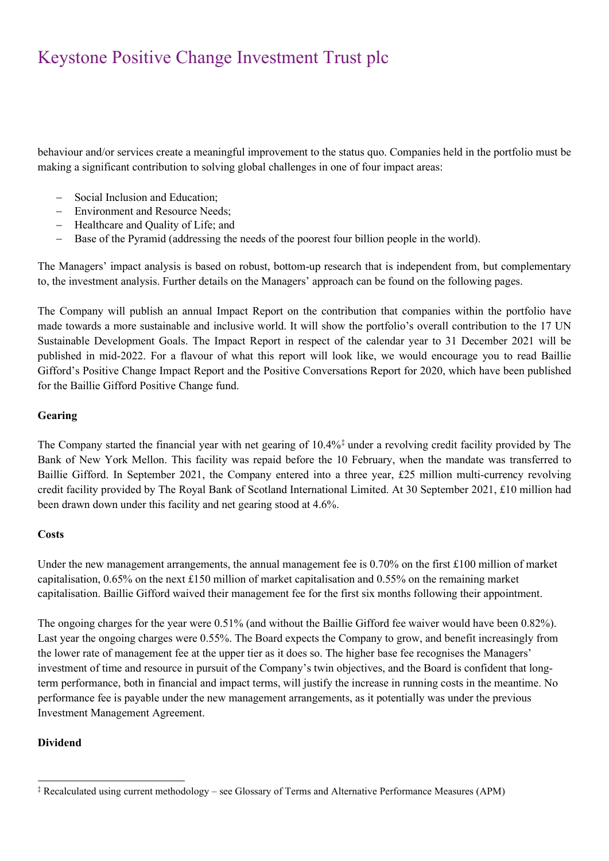behaviour and/or services create a meaningful improvement to the status quo. Companies held in the portfolio must be making a significant contribution to solving global challenges in one of four impact areas:

- − Social Inclusion and Education;
- − Environment and Resource Needs;
- − Healthcare and Quality of Life; and
- − Base of the Pyramid (addressing the needs of the poorest four billion people in the world).

The Managers' impact analysis is based on robust, bottom-up research that is independent from, but complementary to, the investment analysis. Further details on the Managers' approach can be found on the following pages.

The Company will publish an annual Impact Report on the contribution that companies within the portfolio have made towards a more sustainable and inclusive world. It will show the portfolio's overall contribution to the 17 UN Sustainable Development Goals. The Impact Report in respect of the calendar year to 31 December 2021 will be published in mid-2022. For a flavour of what this report will look like, we would encourage you to read Baillie Gifford's Positive Change Impact Report and the Positive Conversations Report for 2020, which have been published for the Baillie Gifford Positive Change fund.

## **Gearing**

The Company started the financial year with net gearing of 10.4%[‡](#page-3-0) under a revolving credit facility provided by The Bank of New York Mellon. This facility was repaid before the 10 February, when the mandate was transferred to Baillie Gifford. In September 2021, the Company entered into a three year, £25 million multi-currency revolving credit facility provided by The Royal Bank of Scotland International Limited. At 30 September 2021, £10 million had been drawn down under this facility and net gearing stood at 4.6%.

## **Costs**

Under the new management arrangements, the annual management fee is 0.70% on the first £100 million of market capitalisation, 0.65% on the next £150 million of market capitalisation and 0.55% on the remaining market capitalisation. Baillie Gifford waived their management fee for the first six months following their appointment.

The ongoing charges for the year were 0.51% (and without the Baillie Gifford fee waiver would have been 0.82%). Last year the ongoing charges were 0.55%. The Board expects the Company to grow, and benefit increasingly from the lower rate of management fee at the upper tier as it does so. The higher base fee recognises the Managers' investment of time and resource in pursuit of the Company's twin objectives, and the Board is confident that longterm performance, both in financial and impact terms, will justify the increase in running costs in the meantime. No performance fee is payable under the new management arrangements, as it potentially was under the previous Investment Management Agreement.

## **Dividend**

<span id="page-3-0"></span><sup>‡</sup> Recalculated using current methodology – see Glossary of Terms and Alternative Performance Measures (APM)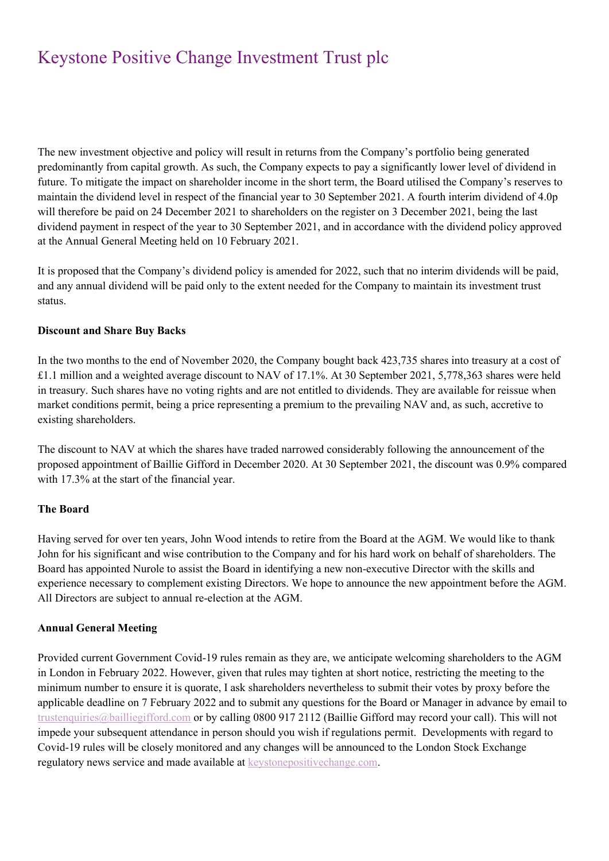The new investment objective and policy will result in returns from the Company's portfolio being generated predominantly from capital growth. As such, the Company expects to pay a significantly lower level of dividend in future. To mitigate the impact on shareholder income in the short term, the Board utilised the Company's reserves to maintain the dividend level in respect of the financial year to 30 September 2021. A fourth interim dividend of 4.0p will therefore be paid on 24 December 2021 to shareholders on the register on 3 December 2021, being the last dividend payment in respect of the year to 30 September 2021, and in accordance with the dividend policy approved at the Annual General Meeting held on 10 February 2021.

It is proposed that the Company's dividend policy is amended for 2022, such that no interim dividends will be paid, and any annual dividend will be paid only to the extent needed for the Company to maintain its investment trust status.

## **Discount and Share Buy Backs**

In the two months to the end of November 2020, the Company bought back 423,735 shares into treasury at a cost of £1.1 million and a weighted average discount to NAV of 17.1%. At 30 September 2021, 5,778,363 shares were held in treasury. Such shares have no voting rights and are not entitled to dividends. They are available for reissue when market conditions permit, being a price representing a premium to the prevailing NAV and, as such, accretive to existing shareholders.

The discount to NAV at which the shares have traded narrowed considerably following the announcement of the proposed appointment of Baillie Gifford in December 2020. At 30 September 2021, the discount was 0.9% compared with 17.3% at the start of the financial year.

## **The Board**

Having served for over ten years, John Wood intends to retire from the Board at the AGM. We would like to thank John for his significant and wise contribution to the Company and for his hard work on behalf of shareholders. The Board has appointed Nurole to assist the Board in identifying a new non-executive Director with the skills and experience necessary to complement existing Directors. We hope to announce the new appointment before the AGM. All Directors are subject to annual re-election at the AGM.

## **Annual General Meeting**

Provided current Government Covid-19 rules remain as they are, we anticipate welcoming shareholders to the AGM in London in February 2022. However, given that rules may tighten at short notice, restricting the meeting to the minimum number to ensure it is quorate, I ask shareholders nevertheless to submit their votes by proxy before the applicable deadline on 7 February 2022 and to submit any questions for the Board or Manager in advance by email to [trustenquiries@bailliegifford.com](mailto:trustenquiries@bailliegifford.com) or by calling 0800 917 2112 (Baillie Gifford may record your call). This will not impede your subsequent attendance in person should you wish if regulations permit. Developments with regard to Covid-19 rules will be closely monitored and any changes will be announced to the London Stock Exchange regulatory news service and made available at [keystonepositivechange.com.](http://.keystonepositivechange.com/)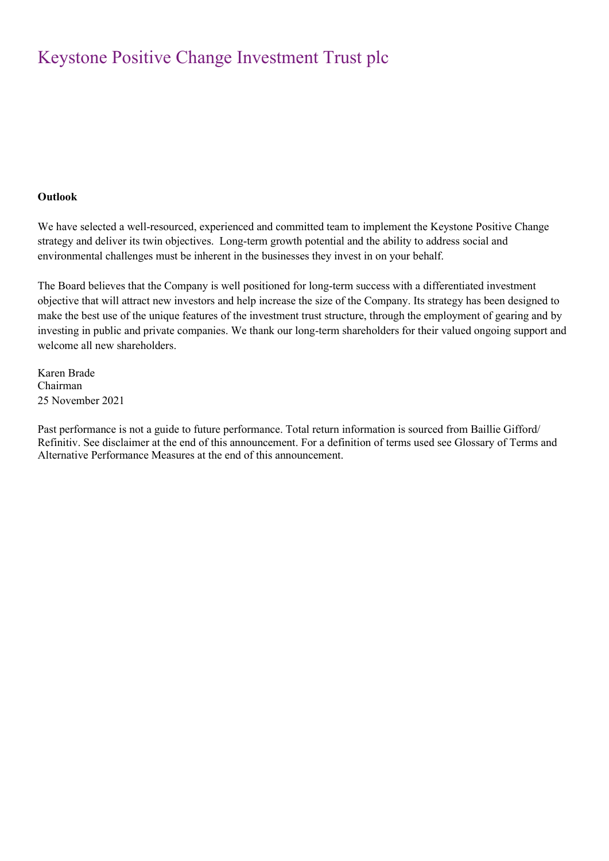## **Outlook**

We have selected a well-resourced, experienced and committed team to implement the Keystone Positive Change strategy and deliver its twin objectives. Long-term growth potential and the ability to address social and environmental challenges must be inherent in the businesses they invest in on your behalf.

The Board believes that the Company is well positioned for long-term success with a differentiated investment objective that will attract new investors and help increase the size of the Company. Its strategy has been designed to make the best use of the unique features of the investment trust structure, through the employment of gearing and by investing in public and private companies. We thank our long-term shareholders for their valued ongoing support and welcome all new shareholders.

Karen Brade Chairman 25 November 2021

Past performance is not a guide to future performance. Total return information is sourced from Baillie Gifford/ Refinitiv. See disclaimer at the end of this announcement. For a definition of terms used see Glossary of Terms and Alternative Performance Measures at the end of this announcement.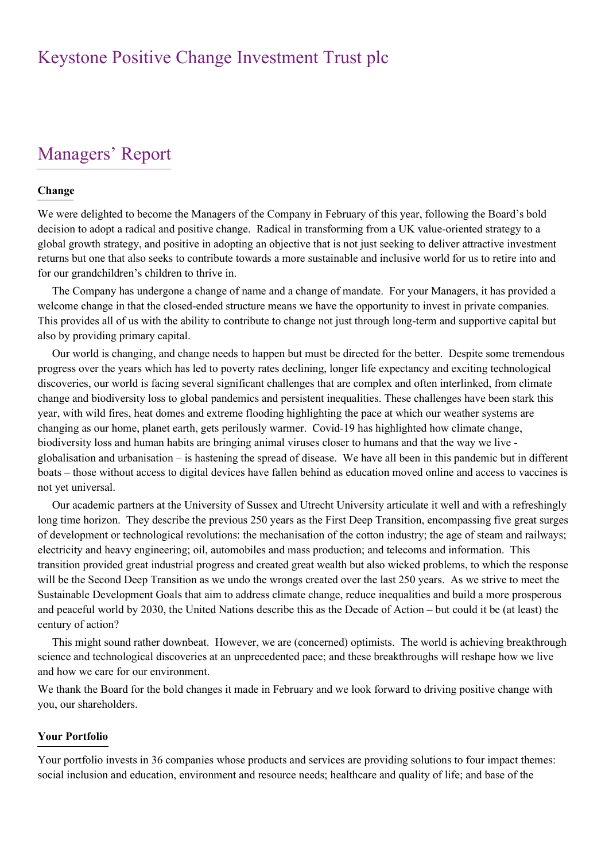# Managers' Report

### **Change**

We were delighted to become the Managers of the Company in February of this year, following the Board's bold decision to adopt a radical and positive change. Radical in transforming from a UK value-oriented strategy to a global growth strategy, and positive in adopting an objective that is not just seeking to deliver attractive investment returns but one that also seeks to contribute towards a more sustainable and inclusive world for us to retire into and for our grandchildren's children to thrive in.

The Company has undergone a change of name and a change of mandate. For your Managers, it has provided a welcome change in that the closed-ended structure means we have the opportunity to invest in private companies. This provides all of us with the ability to contribute to change not just through long-term and supportive capital but also by providing primary capital.

Our world is changing, and change needs to happen but must be directed for the better. Despite some tremendous progress over the years which has led to poverty rates declining, longer life expectancy and exciting technological discoveries, our world is facing several significant challenges that are complex and often interlinked, from climate change and biodiversity loss to global pandemics and persistent inequalities. These challenges have been stark this year, with wild fires, heat domes and extreme flooding highlighting the pace at which our weather systems are changing as our home, planet earth, gets perilously warmer. Covid-19 has highlighted how climate change, biodiversity loss and human habits are bringing animal viruses closer to humans and that the way we live globalisation and urbanisation – is hastening the spread of disease. We have all been in this pandemic but in different boats – those without access to digital devices have fallen behind as education moved online and access to vaccines is not yet universal.

Our academic partners at the University of Sussex and Utrecht University articulate it well and with a refreshingly long time horizon. They describe the previous 250 years as the First Deep Transition, encompassing five great surges of development or technological revolutions: the mechanisation of the cotton industry; the age of steam and railways; electricity and heavy engineering; oil, automobiles and mass production; and telecoms and information. This transition provided great industrial progress and created great wealth but also wicked problems, to which the response will be the Second Deep Transition as we undo the wrongs created over the last 250 years. As we strive to meet the Sustainable Development Goals that aim to address climate change, reduce inequalities and build a more prosperous and peaceful world by 2030, the United Nations describe this as the Decade of Action – but could it be (at least) the century of action?

This might sound rather downbeat. However, we are (concerned) optimists. The world is achieving breakthrough science and technological discoveries at an unprecedented pace; and these breakthroughs will reshape how we live and how we care for our environment.

We thank the Board for the bold changes it made in February and we look forward to driving positive change with you, our shareholders.

### **Your Portfolio**

Your portfolio invests in 36 companies whose products and services are providing solutions to four impact themes: social inclusion and education, environment and resource needs; healthcare and quality of life; and base of the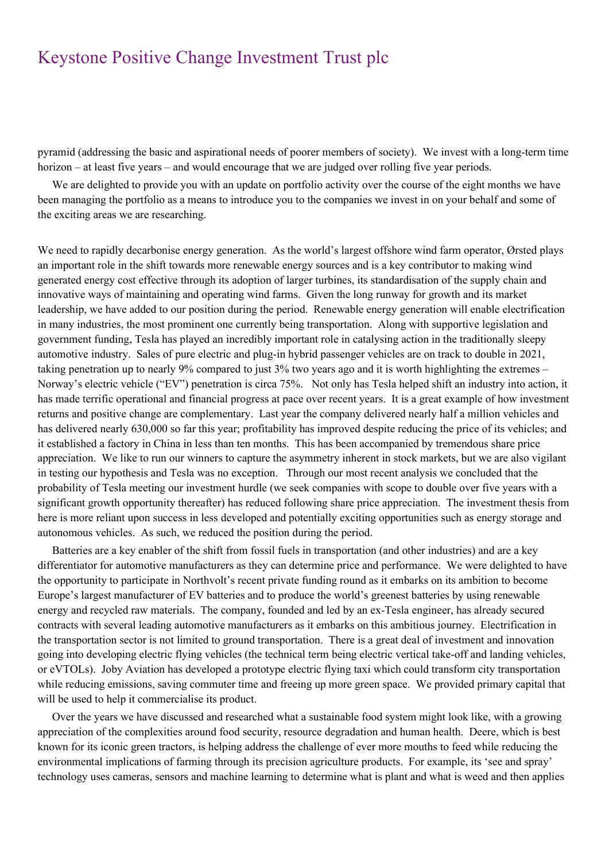pyramid (addressing the basic and aspirational needs of poorer members of society). We invest with a long-term time horizon – at least five years – and would encourage that we are judged over rolling five year periods.

We are delighted to provide you with an update on portfolio activity over the course of the eight months we have been managing the portfolio as a means to introduce you to the companies we invest in on your behalf and some of the exciting areas we are researching.

We need to rapidly decarbonise energy generation. As the world's largest offshore wind farm operator, Ørsted plays an important role in the shift towards more renewable energy sources and is a key contributor to making wind generated energy cost effective through its adoption of larger turbines, its standardisation of the supply chain and innovative ways of maintaining and operating wind farms. Given the long runway for growth and its market leadership, we have added to our position during the period. Renewable energy generation will enable electrification in many industries, the most prominent one currently being transportation. Along with supportive legislation and government funding, Tesla has played an incredibly important role in catalysing action in the traditionally sleepy automotive industry. Sales of pure electric and plug-in hybrid passenger vehicles are on track to double in 2021, taking penetration up to nearly 9% compared to just 3% two years ago and it is worth highlighting the extremes – Norway's electric vehicle ("EV") penetration is circa 75%. Not only has Tesla helped shift an industry into action, it has made terrific operational and financial progress at pace over recent years. It is a great example of how investment returns and positive change are complementary. Last year the company delivered nearly half a million vehicles and has delivered nearly 630,000 so far this year; profitability has improved despite reducing the price of its vehicles; and it established a factory in China in less than ten months. This has been accompanied by tremendous share price appreciation. We like to run our winners to capture the asymmetry inherent in stock markets, but we are also vigilant in testing our hypothesis and Tesla was no exception. Through our most recent analysis we concluded that the probability of Tesla meeting our investment hurdle (we seek companies with scope to double over five years with a significant growth opportunity thereafter) has reduced following share price appreciation. The investment thesis from here is more reliant upon success in less developed and potentially exciting opportunities such as energy storage and autonomous vehicles. As such, we reduced the position during the period.

Batteries are a key enabler of the shift from fossil fuels in transportation (and other industries) and are a key differentiator for automotive manufacturers as they can determine price and performance. We were delighted to have the opportunity to participate in Northvolt's recent private funding round as it embarks on its ambition to become Europe's largest manufacturer of EV batteries and to produce the world's greenest batteries by using renewable energy and recycled raw materials. The company, founded and led by an ex-Tesla engineer, has already secured contracts with several leading automotive manufacturers as it embarks on this ambitious journey. Electrification in the transportation sector is not limited to ground transportation. There is a great deal of investment and innovation going into developing electric flying vehicles (the technical term being electric vertical take-off and landing vehicles, or eVTOLs). Joby Aviation has developed a prototype electric flying taxi which could transform city transportation while reducing emissions, saving commuter time and freeing up more green space. We provided primary capital that will be used to help it commercialise its product.

Over the years we have discussed and researched what a sustainable food system might look like, with a growing appreciation of the complexities around food security, resource degradation and human health. Deere, which is best known for its iconic green tractors, is helping address the challenge of ever more mouths to feed while reducing the environmental implications of farming through its precision agriculture products. For example, its 'see and spray' technology uses cameras, sensors and machine learning to determine what is plant and what is weed and then applies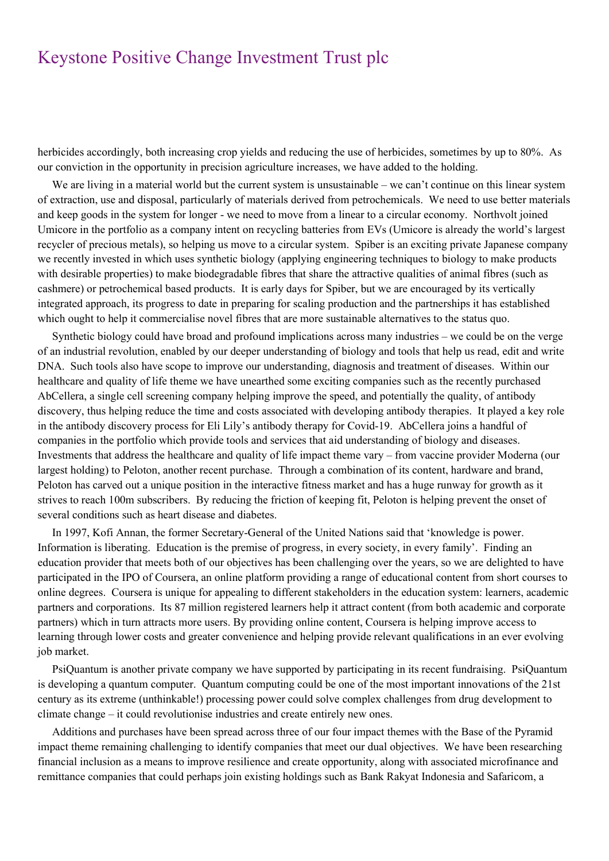herbicides accordingly, both increasing crop yields and reducing the use of herbicides, sometimes by up to 80%. As our conviction in the opportunity in precision agriculture increases, we have added to the holding.

We are living in a material world but the current system is unsustainable – we can't continue on this linear system of extraction, use and disposal, particularly of materials derived from petrochemicals. We need to use better materials and keep goods in the system for longer - we need to move from a linear to a circular economy. Northvolt joined Umicore in the portfolio as a company intent on recycling batteries from EVs (Umicore is already the world's largest recycler of precious metals), so helping us move to a circular system. Spiber is an exciting private Japanese company we recently invested in which uses synthetic biology (applying engineering techniques to biology to make products with desirable properties) to make biodegradable fibres that share the attractive qualities of animal fibres (such as cashmere) or petrochemical based products. It is early days for Spiber, but we are encouraged by its vertically integrated approach, its progress to date in preparing for scaling production and the partnerships it has established which ought to help it commercialise novel fibres that are more sustainable alternatives to the status quo.

Synthetic biology could have broad and profound implications across many industries – we could be on the verge of an industrial revolution, enabled by our deeper understanding of biology and tools that help us read, edit and write DNA. Such tools also have scope to improve our understanding, diagnosis and treatment of diseases. Within our healthcare and quality of life theme we have unearthed some exciting companies such as the recently purchased AbCellera, a single cell screening company helping improve the speed, and potentially the quality, of antibody discovery, thus helping reduce the time and costs associated with developing antibody therapies. It played a key role in the antibody discovery process for Eli Lily's antibody therapy for Covid-19. AbCellera joins a handful of companies in the portfolio which provide tools and services that aid understanding of biology and diseases. Investments that address the healthcare and quality of life impact theme vary – from vaccine provider Moderna (our largest holding) to Peloton, another recent purchase. Through a combination of its content, hardware and brand, Peloton has carved out a unique position in the interactive fitness market and has a huge runway for growth as it strives to reach 100m subscribers. By reducing the friction of keeping fit, Peloton is helping prevent the onset of several conditions such as heart disease and diabetes.

In 1997, Kofi Annan, the former Secretary-General of the United Nations said that 'knowledge is power. Information is liberating. Education is the premise of progress, in every society, in every family'. Finding an education provider that meets both of our objectives has been challenging over the years, so we are delighted to have participated in the IPO of Coursera, an online platform providing a range of educational content from short courses to online degrees. Coursera is unique for appealing to different stakeholders in the education system: learners, academic partners and corporations. Its 87 million registered learners help it attract content (from both academic and corporate partners) which in turn attracts more users. By providing online content, Coursera is helping improve access to learning through lower costs and greater convenience and helping provide relevant qualifications in an ever evolving job market.

PsiQuantum is another private company we have supported by participating in its recent fundraising. PsiQuantum is developing a quantum computer. Quantum computing could be one of the most important innovations of the 21st century as its extreme (unthinkable!) processing power could solve complex challenges from drug development to climate change – it could revolutionise industries and create entirely new ones.

Additions and purchases have been spread across three of our four impact themes with the Base of the Pyramid impact theme remaining challenging to identify companies that meet our dual objectives. We have been researching financial inclusion as a means to improve resilience and create opportunity, along with associated microfinance and remittance companies that could perhaps join existing holdings such as Bank Rakyat Indonesia and Safaricom, a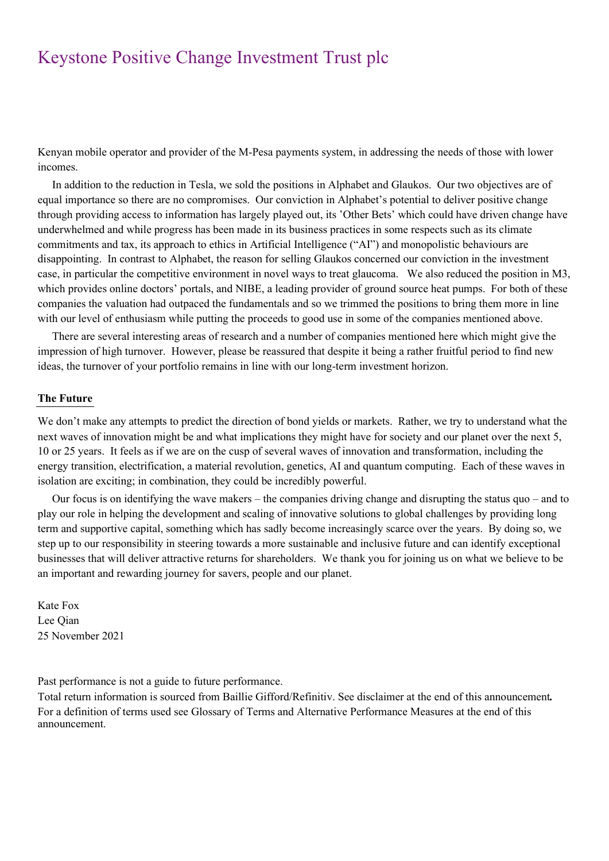Kenyan mobile operator and provider of the M-Pesa payments system, in addressing the needs of those with lower incomes.

In addition to the reduction in Tesla, we sold the positions in Alphabet and Glaukos. Our two objectives are of equal importance so there are no compromises. Our conviction in Alphabet's potential to deliver positive change through providing access to information has largely played out, its 'Other Bets' which could have driven change have underwhelmed and while progress has been made in its business practices in some respects such as its climate commitments and tax, its approach to ethics in Artificial Intelligence ("AI") and monopolistic behaviours are disappointing. In contrast to Alphabet, the reason for selling Glaukos concerned our conviction in the investment case, in particular the competitive environment in novel ways to treat glaucoma. We also reduced the position in M3, which provides online doctors' portals, and NIBE, a leading provider of ground source heat pumps. For both of these companies the valuation had outpaced the fundamentals and so we trimmed the positions to bring them more in line with our level of enthusiasm while putting the proceeds to good use in some of the companies mentioned above.

There are several interesting areas of research and a number of companies mentioned here which might give the impression of high turnover. However, please be reassured that despite it being a rather fruitful period to find new ideas, the turnover of your portfolio remains in line with our long-term investment horizon.

### **The Future**

We don't make any attempts to predict the direction of bond yields or markets. Rather, we try to understand what the next waves of innovation might be and what implications they might have for society and our planet over the next 5, 10 or 25 years. It feels as if we are on the cusp of several waves of innovation and transformation, including the energy transition, electrification, a material revolution, genetics, AI and quantum computing. Each of these waves in isolation are exciting; in combination, they could be incredibly powerful.

Our focus is on identifying the wave makers – the companies driving change and disrupting the status quo – and to play our role in helping the development and scaling of innovative solutions to global challenges by providing long term and supportive capital, something which has sadly become increasingly scarce over the years. By doing so, we step up to our responsibility in steering towards a more sustainable and inclusive future and can identify exceptional businesses that will deliver attractive returns for shareholders. We thank you for joining us on what we believe to be an important and rewarding journey for savers, people and our planet.

Kate Fox Lee Qian 25 November 2021

Past performance is not a guide to future performance.

Total return information is sourced from Baillie Gifford/Refinitiv. See disclaimer at the end of this announcement*.* For a definition of terms used see Glossary of Terms and Alternative Performance Measures at the end of this announcement.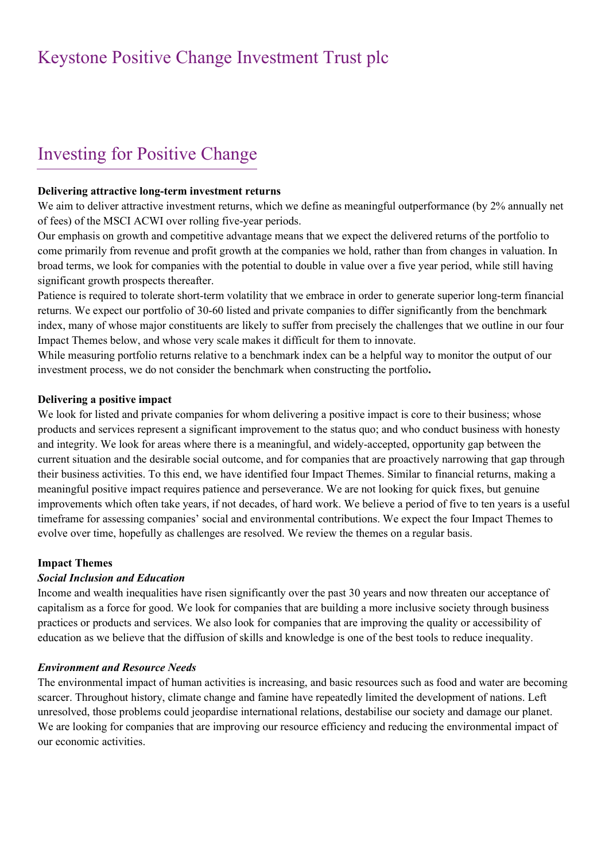# Investing for Positive Change

### **Delivering attractive long-term investment returns**

We aim to deliver attractive investment returns, which we define as meaningful outperformance (by 2% annually net of fees) of the MSCI ACWI over rolling five-year periods.

Our emphasis on growth and competitive advantage means that we expect the delivered returns of the portfolio to come primarily from revenue and profit growth at the companies we hold, rather than from changes in valuation. In broad terms, we look for companies with the potential to double in value over a five year period, while still having significant growth prospects thereafter.

Patience is required to tolerate short-term volatility that we embrace in order to generate superior long-term financial returns. We expect our portfolio of 30-60 listed and private companies to differ significantly from the benchmark index, many of whose major constituents are likely to suffer from precisely the challenges that we outline in our four Impact Themes below, and whose very scale makes it difficult for them to innovate.

While measuring portfolio returns relative to a benchmark index can be a helpful way to monitor the output of our investment process, we do not consider the benchmark when constructing the portfolio**.**

## **Delivering a positive impact**

We look for listed and private companies for whom delivering a positive impact is core to their business; whose products and services represent a significant improvement to the status quo; and who conduct business with honesty and integrity. We look for areas where there is a meaningful, and widely-accepted, opportunity gap between the current situation and the desirable social outcome, and for companies that are proactively narrowing that gap through their business activities. To this end, we have identified four Impact Themes. Similar to financial returns, making a meaningful positive impact requires patience and perseverance. We are not looking for quick fixes, but genuine improvements which often take years, if not decades, of hard work. We believe a period of five to ten years is a useful timeframe for assessing companies' social and environmental contributions. We expect the four Impact Themes to evolve over time, hopefully as challenges are resolved. We review the themes on a regular basis.

## **Impact Themes**

## *Social Inclusion and Education*

Income and wealth inequalities have risen significantly over the past 30 years and now threaten our acceptance of capitalism as a force for good. We look for companies that are building a more inclusive society through business practices or products and services. We also look for companies that are improving the quality or accessibility of education as we believe that the diffusion of skills and knowledge is one of the best tools to reduce inequality.

## *Environment and Resource Needs*

The environmental impact of human activities is increasing, and basic resources such as food and water are becoming scarcer. Throughout history, climate change and famine have repeatedly limited the development of nations. Left unresolved, those problems could jeopardise international relations, destabilise our society and damage our planet. We are looking for companies that are improving our resource efficiency and reducing the environmental impact of our economic activities.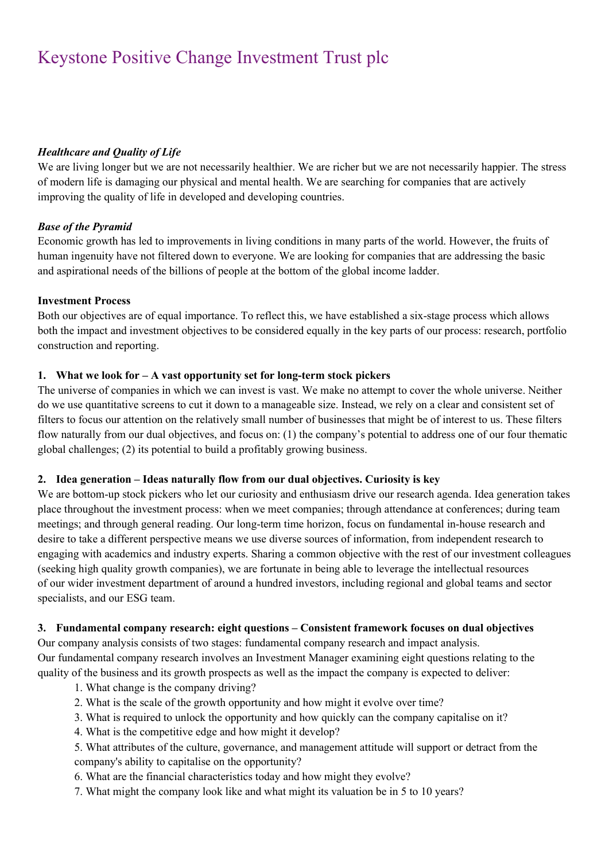## *Healthcare and Quality of Life*

We are living longer but we are not necessarily healthier. We are richer but we are not necessarily happier. The stress of modern life is damaging our physical and mental health. We are searching for companies that are actively improving the quality of life in developed and developing countries.

## *Base of the Pyramid*

Economic growth has led to improvements in living conditions in many parts of the world. However, the fruits of human ingenuity have not filtered down to everyone. We are looking for companies that are addressing the basic and aspirational needs of the billions of people at the bottom of the global income ladder.

## **Investment Process**

Both our objectives are of equal importance. To reflect this, we have established a six-stage process which allows both the impact and investment objectives to be considered equally in the key parts of our process: research, portfolio construction and reporting.

## **1. What we look for – A vast opportunity set for long-term stock pickers**

The universe of companies in which we can invest is vast. We make no attempt to cover the whole universe. Neither do we use quantitative screens to cut it down to a manageable size. Instead, we rely on a clear and consistent set of filters to focus our attention on the relatively small number of businesses that might be of interest to us. These filters flow naturally from our dual objectives, and focus on: (1) the company's potential to address one of our four thematic global challenges; (2) its potential to build a profitably growing business.

## **2. Idea generation – Ideas naturally flow from our dual objectives. Curiosity is key**

We are bottom-up stock pickers who let our curiosity and enthusiasm drive our research agenda. Idea generation takes place throughout the investment process: when we meet companies; through attendance at conferences; during team meetings; and through general reading. Our long-term time horizon, focus on fundamental in-house research and desire to take a different perspective means we use diverse sources of information, from independent research to engaging with academics and industry experts. Sharing a common objective with the rest of our investment colleagues (seeking high quality growth companies), we are fortunate in being able to leverage the intellectual resources of our wider investment department of around a hundred investors, including regional and global teams and sector specialists, and our ESG team.

## **3. Fundamental company research: eight questions – Consistent framework focuses on dual objectives**

Our company analysis consists of two stages: fundamental company research and impact analysis. Our fundamental company research involves an Investment Manager examining eight questions relating to the quality of the business and its growth prospects as well as the impact the company is expected to deliver:

- 1. What change is the company driving?
- 2. What is the scale of the growth opportunity and how might it evolve over time?
- 3. What is required to unlock the opportunity and how quickly can the company capitalise on it?
- 4. What is the competitive edge and how might it develop?
- 5. What attributes of the culture, governance, and management attitude will support or detract from the company's ability to capitalise on the opportunity?
- 6. What are the financial characteristics today and how might they evolve?
- 7. What might the company look like and what might its valuation be in 5 to 10 years?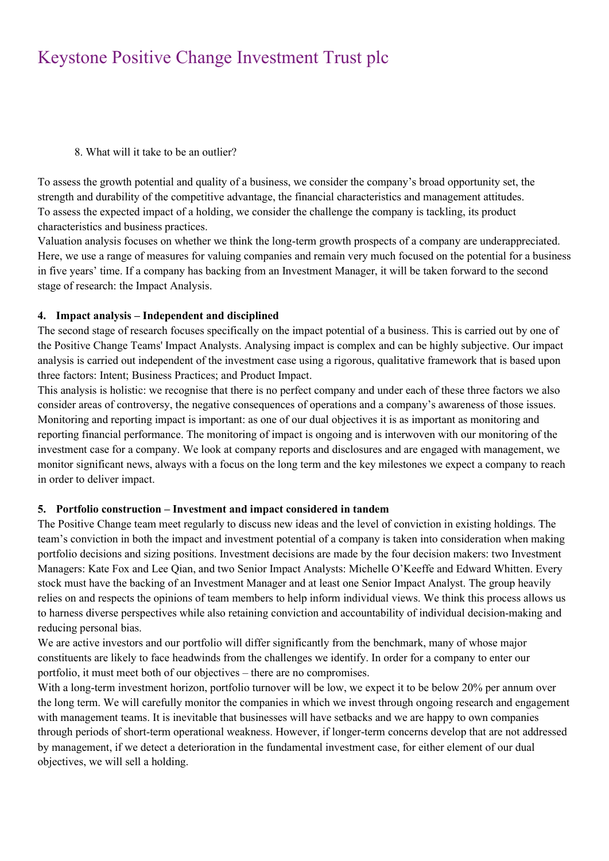8. What will it take to be an outlier?

To assess the growth potential and quality of a business, we consider the company's broad opportunity set, the strength and durability of the competitive advantage, the financial characteristics and management attitudes. To assess the expected impact of a holding, we consider the challenge the company is tackling, its product characteristics and business practices.

Valuation analysis focuses on whether we think the long-term growth prospects of a company are underappreciated. Here, we use a range of measures for valuing companies and remain very much focused on the potential for a business in five years' time. If a company has backing from an Investment Manager, it will be taken forward to the second stage of research: the Impact Analysis.

## **4. Impact analysis – Independent and disciplined**

The second stage of research focuses specifically on the impact potential of a business. This is carried out by one of the Positive Change Teams' Impact Analysts. Analysing impact is complex and can be highly subjective. Our impact analysis is carried out independent of the investment case using a rigorous, qualitative framework that is based upon three factors: Intent; Business Practices; and Product Impact.

This analysis is holistic: we recognise that there is no perfect company and under each of these three factors we also consider areas of controversy, the negative consequences of operations and a company's awareness of those issues. Monitoring and reporting impact is important: as one of our dual objectives it is as important as monitoring and reporting financial performance. The monitoring of impact is ongoing and is interwoven with our monitoring of the investment case for a company. We look at company reports and disclosures and are engaged with management, we monitor significant news, always with a focus on the long term and the key milestones we expect a company to reach in order to deliver impact.

## **5. Portfolio construction – Investment and impact considered in tandem**

The Positive Change team meet regularly to discuss new ideas and the level of conviction in existing holdings. The team's conviction in both the impact and investment potential of a company is taken into consideration when making portfolio decisions and sizing positions. Investment decisions are made by the four decision makers: two Investment Managers: Kate Fox and Lee Qian, and two Senior Impact Analysts: Michelle O'Keeffe and Edward Whitten. Every stock must have the backing of an Investment Manager and at least one Senior Impact Analyst. The group heavily relies on and respects the opinions of team members to help inform individual views. We think this process allows us to harness diverse perspectives while also retaining conviction and accountability of individual decision-making and reducing personal bias.

We are active investors and our portfolio will differ significantly from the benchmark, many of whose major constituents are likely to face headwinds from the challenges we identify. In order for a company to enter our portfolio, it must meet both of our objectives – there are no compromises.

With a long-term investment horizon, portfolio turnover will be low, we expect it to be below 20% per annum over the long term. We will carefully monitor the companies in which we invest through ongoing research and engagement with management teams. It is inevitable that businesses will have setbacks and we are happy to own companies through periods of short-term operational weakness. However, if longer-term concerns develop that are not addressed by management, if we detect a deterioration in the fundamental investment case, for either element of our dual objectives, we will sell a holding.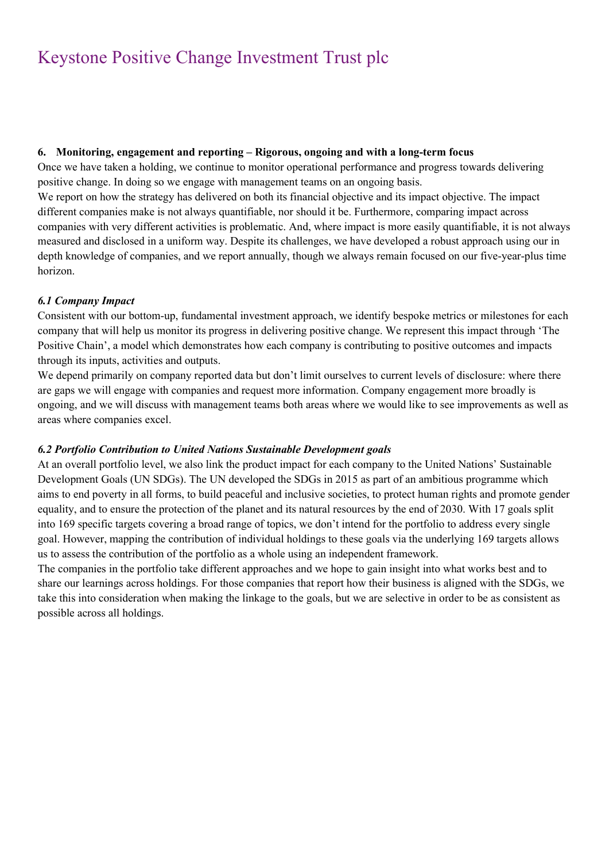## **6. Monitoring, engagement and reporting – Rigorous, ongoing and with a long-term focus**

Once we have taken a holding, we continue to monitor operational performance and progress towards delivering positive change. In doing so we engage with management teams on an ongoing basis.

We report on how the strategy has delivered on both its financial objective and its impact objective. The impact different companies make is not always quantifiable, nor should it be. Furthermore, comparing impact across companies with very different activities is problematic. And, where impact is more easily quantifiable, it is not always measured and disclosed in a uniform way. Despite its challenges, we have developed a robust approach using our in depth knowledge of companies, and we report annually, though we always remain focused on our five-year-plus time horizon.

## *6.1 Company Impact*

Consistent with our bottom-up, fundamental investment approach, we identify bespoke metrics or milestones for each company that will help us monitor its progress in delivering positive change. We represent this impact through 'The Positive Chain', a model which demonstrates how each company is contributing to positive outcomes and impacts through its inputs, activities and outputs.

We depend primarily on company reported data but don't limit ourselves to current levels of disclosure: where there are gaps we will engage with companies and request more information. Company engagement more broadly is ongoing, and we will discuss with management teams both areas where we would like to see improvements as well as areas where companies excel.

## *6.2 Portfolio Contribution to United Nations Sustainable Development goals*

At an overall portfolio level, we also link the product impact for each company to the United Nations' Sustainable Development Goals (UN SDGs). The UN developed the SDGs in 2015 as part of an ambitious programme which aims to end poverty in all forms, to build peaceful and inclusive societies, to protect human rights and promote gender equality, and to ensure the protection of the planet and its natural resources by the end of 2030. With 17 goals split into 169 specific targets covering a broad range of topics, we don't intend for the portfolio to address every single goal. However, mapping the contribution of individual holdings to these goals via the underlying 169 targets allows us to assess the contribution of the portfolio as a whole using an independent framework.

The companies in the portfolio take different approaches and we hope to gain insight into what works best and to share our learnings across holdings. For those companies that report how their business is aligned with the SDGs, we take this into consideration when making the linkage to the goals, but we are selective in order to be as consistent as possible across all holdings.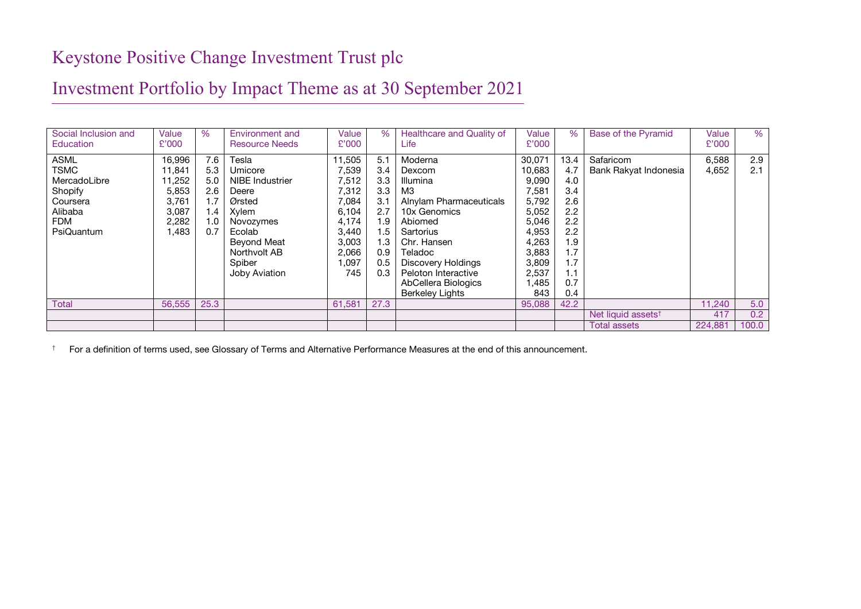# Investment Portfolio by Impact Theme as at 30 September 2021

| Social Inclusion and<br><b>Education</b>                                                                 | Value<br>£'000                                                          | $\%$                                                           | Environment and<br><b>Resource Needs</b>                                                                                                                | Value<br>£'000                                                                                          | $\%$                                                                              | Healthcare and Quality of<br>Life                                                                                                                                                                                                            | Value<br>£'000                                                                                                             | $\%$                                                                                            | Base of the Pyramid                | Value<br>£'000 | %          |
|----------------------------------------------------------------------------------------------------------|-------------------------------------------------------------------------|----------------------------------------------------------------|---------------------------------------------------------------------------------------------------------------------------------------------------------|---------------------------------------------------------------------------------------------------------|-----------------------------------------------------------------------------------|----------------------------------------------------------------------------------------------------------------------------------------------------------------------------------------------------------------------------------------------|----------------------------------------------------------------------------------------------------------------------------|-------------------------------------------------------------------------------------------------|------------------------------------|----------------|------------|
| <b>ASML</b><br><b>TSMC</b><br>MercadoLibre<br>Shopify<br>Coursera<br>Alibaba<br><b>FDM</b><br>PsiQuantum | 16,996<br>11,841<br>11,252<br>5,853<br>3,761<br>3,087<br>2,282<br>1,483 | 7.6<br>5.3<br>5.0<br>2.6<br>1.7<br>$1.4^{\circ}$<br>1.0<br>0.7 | Tesla<br>Umicore<br>NIBE Industrier<br>Deere<br>Ørsted<br>Xylem<br>Novozymes<br>Ecolab<br>Beyond Meat<br>Northvolt AB<br>Spiber<br><b>Joby Aviation</b> | 11,505<br>7,539<br>7,512<br>7,312<br>7,084<br>6,104<br>4.174<br>3.440<br>3,003<br>2,066<br>1,097<br>745 | 5.1<br>3.4<br>3.3<br>3.3<br>3.1<br>2.7<br>1.9<br>. .5<br>1.3<br>0.9<br>0.5<br>0.3 | Moderna<br>Dexcom<br><b>Illumina</b><br>MЗ<br>Alnylam Pharmaceuticals<br>10x Genomics<br>Abiomed<br>Sartorius<br>Chr. Hansen<br>Teladoc<br><b>Discovery Holdings</b><br>Peloton Interactive<br>AbCellera Biologics<br><b>Berkeley Lights</b> | 30,071<br>10,683<br>9,090<br>7,581<br>5,792<br>5,052<br>5,046<br>4,953<br>4,263<br>3,883<br>3,809<br>2,537<br>1,485<br>843 | 13.4<br>4.7<br>4.0<br>3.4<br>2.6<br>2.2<br>2.2<br>2.2<br>1.9<br>1.7<br>1.7<br>1.1<br>0.7<br>0.4 | Safaricom<br>Bank Rakyat Indonesia | 6,588<br>4,652 | 2.9<br>2.1 |
| <b>Total</b>                                                                                             | 56,555                                                                  | 25.3                                                           |                                                                                                                                                         | 61,581                                                                                                  | 27.3                                                                              |                                                                                                                                                                                                                                              | 95,088                                                                                                                     | 42.2                                                                                            |                                    | 11.240         | 5.0        |
|                                                                                                          |                                                                         |                                                                |                                                                                                                                                         |                                                                                                         |                                                                                   |                                                                                                                                                                                                                                              |                                                                                                                            |                                                                                                 | Net liquid assets <sup>t</sup>     | 417            | 0.2        |
|                                                                                                          |                                                                         |                                                                |                                                                                                                                                         |                                                                                                         |                                                                                   |                                                                                                                                                                                                                                              |                                                                                                                            |                                                                                                 | Total assets                       | 224,881        | 100.0      |

† For a definition of terms used, see Glossary of Terms and Alternative Performance Measures at the end of this announcement.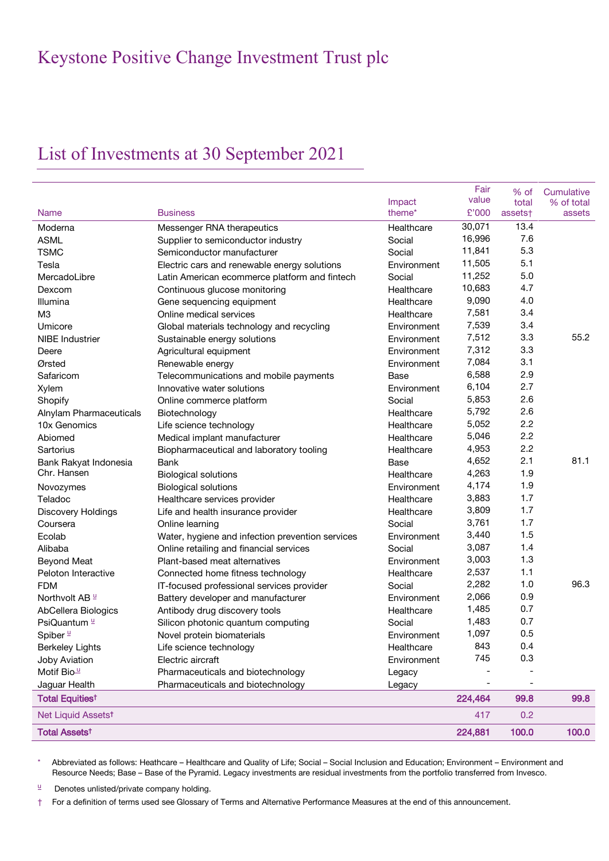# List of Investments at 30 September 2021

|                                   |                                                  |                              | Fair<br>value | % of             | Cumulative           |
|-----------------------------------|--------------------------------------------------|------------------------------|---------------|------------------|----------------------|
| <b>Name</b>                       | <b>Business</b>                                  | Impact<br>theme <sup>*</sup> | £'000         | total<br>assets† | % of total<br>assets |
| Moderna                           | Messenger RNA therapeutics                       | Healthcare                   | 30,071        | 13.4             |                      |
| <b>ASML</b>                       | Supplier to semiconductor industry               | Social                       | 16,996        | 7.6              |                      |
| <b>TSMC</b>                       | Semiconductor manufacturer                       | Social                       | 11,841        | 5.3              |                      |
| Tesla                             |                                                  | Environment                  | 11,505        | 5.1              |                      |
|                                   | Electric cars and renewable energy solutions     |                              | 11,252        | 5.0              |                      |
| MercadoLibre                      | Latin American ecommerce platform and fintech    | Social<br>Healthcare         | 10,683        | 4.7              |                      |
| Dexcom                            | Continuous glucose monitoring                    |                              | 9,090         | 4.0              |                      |
| Illumina                          | Gene sequencing equipment                        | Healthcare                   | 7,581         | 3.4              |                      |
| M <sub>3</sub>                    | Online medical services                          | Healthcare                   | 7,539         | 3.4              |                      |
| Umicore                           | Global materials technology and recycling        | Environment                  | 7,512         | 3.3              | 55.2                 |
| <b>NIBE</b> Industrier            | Sustainable energy solutions                     | Environment                  |               | 3.3              |                      |
| Deere                             | Agricultural equipment                           | Environment                  | 7,312         | 3.1              |                      |
| Ørsted                            | Renewable energy                                 | Environment                  | 7,084         | 2.9              |                      |
| Safaricom                         | Telecommunications and mobile payments           | <b>Base</b>                  | 6,588         |                  |                      |
| Xylem                             | Innovative water solutions                       | Environment                  | 6,104         | 2.7              |                      |
| Shopify                           | Online commerce platform                         | Social                       | 5,853         | 2.6              |                      |
| Alnylam Pharmaceuticals           | Biotechnology                                    | Healthcare                   | 5,792         | 2.6              |                      |
| 10x Genomics                      | Life science technology                          | Healthcare                   | 5,052         | 2.2              |                      |
| Abiomed                           | Medical implant manufacturer                     | Healthcare                   | 5,046         | 2.2              |                      |
| Sartorius                         | Biopharmaceutical and laboratory tooling         | Healthcare                   | 4,953         | 2.2              |                      |
| Bank Rakyat Indonesia             | <b>Bank</b>                                      | Base                         | 4,652         | 2.1              | 81.1                 |
| Chr. Hansen                       | <b>Biological solutions</b>                      | Healthcare                   | 4,263         | 1.9              |                      |
| Novozymes                         | <b>Biological solutions</b>                      | Environment                  | 4,174         | 1.9              |                      |
| Teladoc                           | Healthcare services provider                     | Healthcare                   | 3,883         | 1.7              |                      |
| <b>Discovery Holdings</b>         | Life and health insurance provider               | Healthcare                   | 3,809         | 1.7              |                      |
| Coursera                          | Online learning                                  | Social                       | 3,761         | 1.7              |                      |
| Ecolab                            | Water, hygiene and infection prevention services | Environment                  | 3,440         | 1.5              |                      |
| Alibaba                           | Online retailing and financial services          | Social                       | 3,087         | 1.4              |                      |
| <b>Beyond Meat</b>                | Plant-based meat alternatives                    | Environment                  | 3,003         | 1.3              |                      |
| Peloton Interactive               | Connected home fitness technology                | Healthcare                   | 2,537         | 1.1              |                      |
| <b>FDM</b>                        | IT-focused professional services provider        | Social                       | 2,282         | 1.0              | 96.3                 |
| Northvolt AB <sup>u</sup>         | Battery developer and manufacturer               | Environment                  | 2,066         | 0.9              |                      |
| AbCellera Biologics               | Antibody drug discovery tools                    | Healthcare                   | 1,485         | 0.7              |                      |
| PsiQuantum <sup>1</sup>           | Silicon photonic quantum computing               | Social                       | 1,483         | 0.7              |                      |
| Spiber <sup>1</sup>               | Novel protein biomaterials                       | Environment                  | 1,097         | 0.5              |                      |
| <b>Berkeley Lights</b>            | Life science technology                          | Healthcare                   | 843           | 0.4              |                      |
| <b>Joby Aviation</b>              | Electric aircraft                                | Environment                  | 745           | 0.3              |                      |
| Motif Bio <sup>11</sup>           | Pharmaceuticals and biotechnology                | Legacy                       |               |                  |                      |
| Jaguar Health                     | Pharmaceuticals and biotechnology                | Legacy                       |               |                  |                      |
| <b>Total Equities<sup>t</sup></b> |                                                  |                              | 224,464       | 99.8             | 99.8                 |
| Net Liquid Assetst                |                                                  |                              | 417           | 0.2              |                      |
| <b>Total Assets<sup>t</sup></b>   |                                                  |                              | 224,881       | 100.0            | 100.0                |

\* Abbreviated as follows: Heathcare – Healthcare and Quality of Life; Social – Social Inclusion and Education; Environment – Environment and Resource Needs; Base – Base of the Pyramid. Legacy investments are residual investments from the portfolio transferred from Invesco.

 $\mu$  Denotes unlisted/private company holding.

† For a definition of terms used see Glossary of Terms and Alternative Performance Measures at the end of this announcement.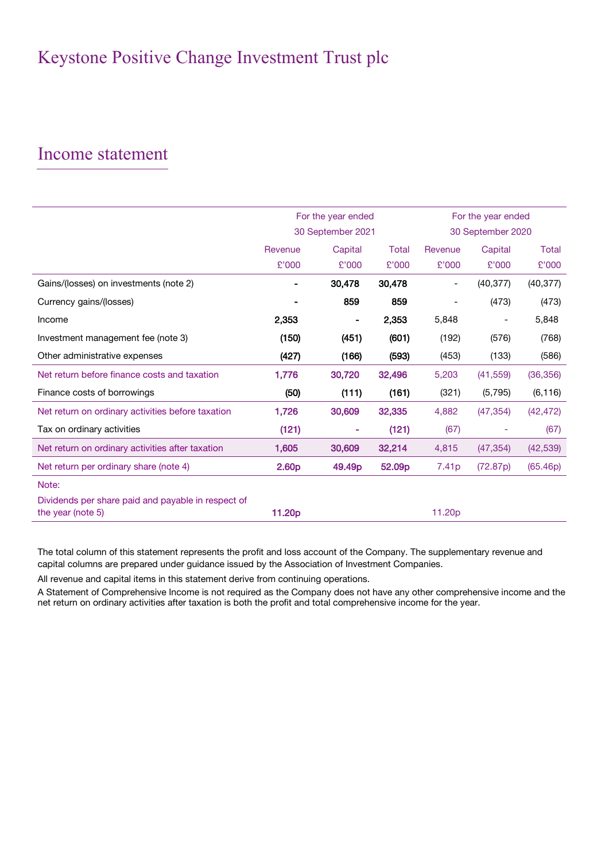## Income statement

|                                                                         |                   | For the year ended | For the year ended |                          |                          |              |
|-------------------------------------------------------------------------|-------------------|--------------------|--------------------|--------------------------|--------------------------|--------------|
|                                                                         |                   | 30 September 2021  |                    | 30 September 2020        |                          |              |
|                                                                         | Revenue           | Capital            | Total              | Revenue                  | Capital                  | <b>Total</b> |
|                                                                         | £'000             | £'000              | £'000              | £'000                    | £'000                    | £'000        |
| Gains/(losses) on investments (note 2)                                  |                   | 30,478             | 30,478             |                          | (40, 377)                | (40, 377)    |
| Currency gains/(losses)                                                 |                   | 859                | 859                | $\overline{\phantom{a}}$ | (473)                    | (473)        |
| Income                                                                  | 2,353             | $\blacksquare$     | 2,353              | 5,848                    | $\overline{\phantom{a}}$ | 5,848        |
| Investment management fee (note 3)                                      | (150)             | (451)              | (601)              | (192)                    | (576)                    | (768)        |
| Other administrative expenses                                           | (427)             | (166)              | (593)              | (453)                    | (133)                    | (586)        |
| Net return before finance costs and taxation                            | 1,776             | 30,720             | 32,496             | 5,203                    | (41, 559)                | (36, 356)    |
| Finance costs of borrowings                                             | (50)              | (111)              | (161)              | (321)                    | (5,795)                  | (6, 116)     |
| Net return on ordinary activities before taxation                       | 1,726             | 30,609             | 32,335             | 4,882                    | (47, 354)                | (42, 472)    |
| Tax on ordinary activities                                              | (121)             | ۰                  | (121)              | (67)                     |                          | (67)         |
| Net return on ordinary activities after taxation                        | 1,605             | 30,609             | 32,214             | 4,815                    | (47, 354)                | (42, 539)    |
| Net return per ordinary share (note 4)                                  | 2.60 <sub>p</sub> | 49.49 <sub>p</sub> | 52.09p             | 7.41 <sub>p</sub>        | (72.87p)                 | (65.46p)     |
| Note:                                                                   |                   |                    |                    |                          |                          |              |
| Dividends per share paid and payable in respect of<br>the year (note 5) | 11.20p            |                    |                    | 11.20p                   |                          |              |

The total column of this statement represents the profit and loss account of the Company. The supplementary revenue and capital columns are prepared under guidance issued by the Association of Investment Companies.

All revenue and capital items in this statement derive from continuing operations.

A Statement of Comprehensive Income is not required as the Company does not have any other comprehensive income and the net return on ordinary activities after taxation is both the profit and total comprehensive income for the year.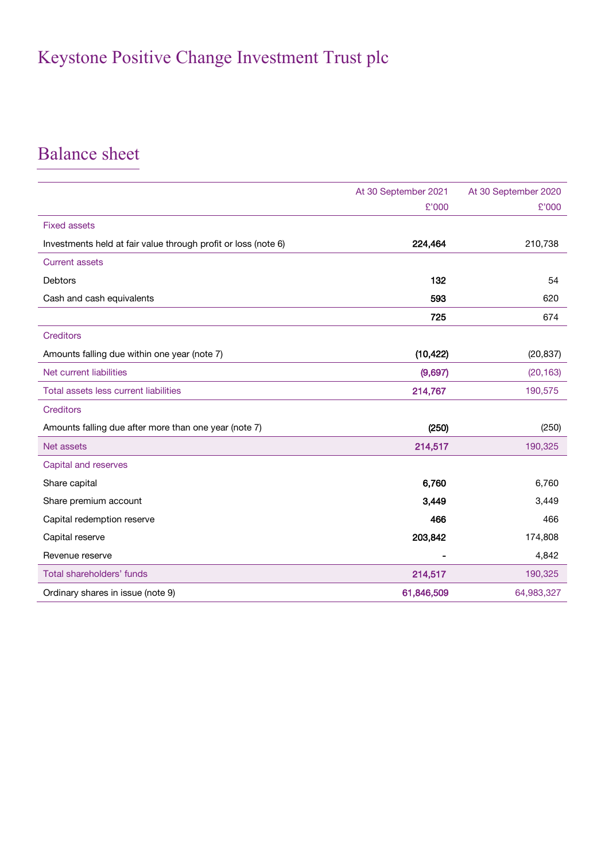# Balance sheet

|                                                                | At 30 September 2021 | At 30 September 2020 |
|----------------------------------------------------------------|----------------------|----------------------|
|                                                                | £'000                | £'000                |
| <b>Fixed assets</b>                                            |                      |                      |
| Investments held at fair value through profit or loss (note 6) | 224,464              | 210,738              |
| <b>Current assets</b>                                          |                      |                      |
| Debtors                                                        | 132                  | 54                   |
| Cash and cash equivalents                                      | 593                  | 620                  |
|                                                                | 725                  | 674                  |
| <b>Creditors</b>                                               |                      |                      |
| Amounts falling due within one year (note 7)                   | (10, 422)            | (20, 837)            |
| Net current liabilities                                        | (9,697)              | (20, 163)            |
| Total assets less current liabilities                          | 214,767              | 190,575              |
| <b>Creditors</b>                                               |                      |                      |
| Amounts falling due after more than one year (note 7)          | (250)                | (250)                |
| Net assets                                                     | 214,517              | 190,325              |
| Capital and reserves                                           |                      |                      |
| Share capital                                                  | 6,760                | 6,760                |
| Share premium account                                          | 3,449                | 3,449                |
| Capital redemption reserve                                     | 466                  | 466                  |
| Capital reserve                                                | 203,842              | 174,808              |
| Revenue reserve                                                |                      | 4,842                |
| Total shareholders' funds                                      | 214,517              | 190,325              |
| Ordinary shares in issue (note 9)                              | 61,846,509           | 64,983,327           |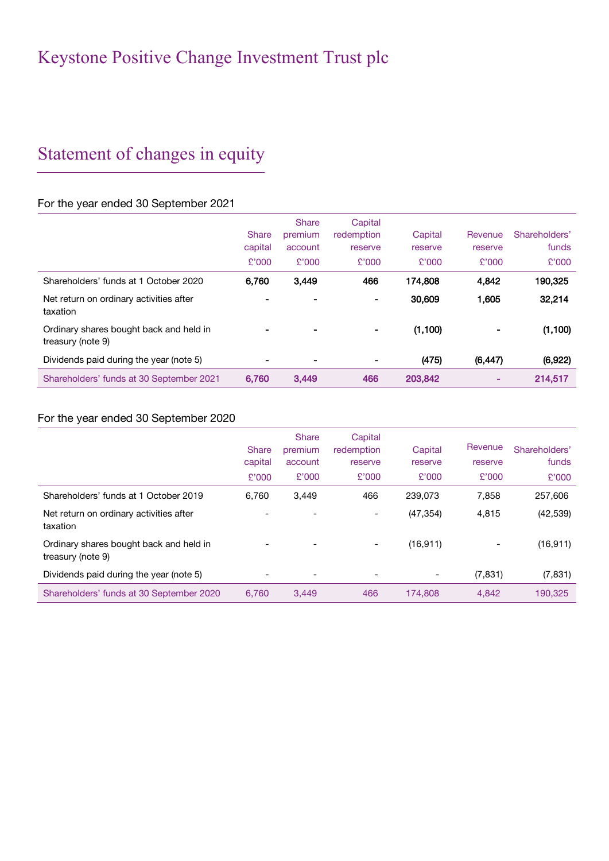# Statement of changes in equity

## For the year ended 30 September 2021

|                                                              |              | <b>Share</b>   | Capital    |          |          |               |
|--------------------------------------------------------------|--------------|----------------|------------|----------|----------|---------------|
|                                                              | <b>Share</b> | premium        | redemption | Capital  | Revenue  | Shareholders' |
|                                                              | capital      | account        | reserve    | reserve  | reserve  | funds         |
|                                                              | £'000        | £'000          | £'000      | £'000    | £'000    | £'000         |
| Shareholders' funds at 1 October 2020                        | 6.760        | 3,449          | 466        | 174,808  | 4,842    | 190,325       |
| Net return on ordinary activities after<br>taxation          |              | $\blacksquare$ | ۰          | 30,609   | 1,605    | 32,214        |
| Ordinary shares bought back and held in<br>treasury (note 9) |              | $\blacksquare$ |            | (1, 100) |          | (1, 100)      |
| Dividends paid during the year (note 5)                      |              | $\blacksquare$ | ۰.         | (475)    | (6, 447) | (6, 922)      |
| Shareholders' funds at 30 September 2021                     | 6.760        | 3,449          | 466        | 203,842  |          | 214,517       |

## For the year ended 30 September 2020

|                                                              | <b>Share</b><br>capital<br>£'000 | <b>Share</b><br>premium<br>account<br>£'000 | Capital<br>redemption<br>reserve<br>£'000 | Capital<br>reserve<br>£'000 | Revenue<br>reserve<br>£'000 | Shareholders'<br>funds<br>£'000 |
|--------------------------------------------------------------|----------------------------------|---------------------------------------------|-------------------------------------------|-----------------------------|-----------------------------|---------------------------------|
| Shareholders' funds at 1 October 2019                        | 6.760                            | 3,449                                       | 466                                       | 239,073                     | 7,858                       | 257.606                         |
| Net return on ordinary activities after<br>taxation          |                                  |                                             |                                           | (47, 354)                   | 4,815                       | (42, 539)                       |
| Ordinary shares bought back and held in<br>treasury (note 9) |                                  | -                                           |                                           | (16, 911)                   |                             | (16, 911)                       |
| Dividends paid during the year (note 5)                      |                                  | $\overline{\phantom{a}}$                    | $\overline{a}$                            |                             | (7, 831)                    | (7, 831)                        |
| Shareholders' funds at 30 September 2020                     | 6.760                            | 3.449                                       | 466                                       | 174.808                     | 4.842                       | 190.325                         |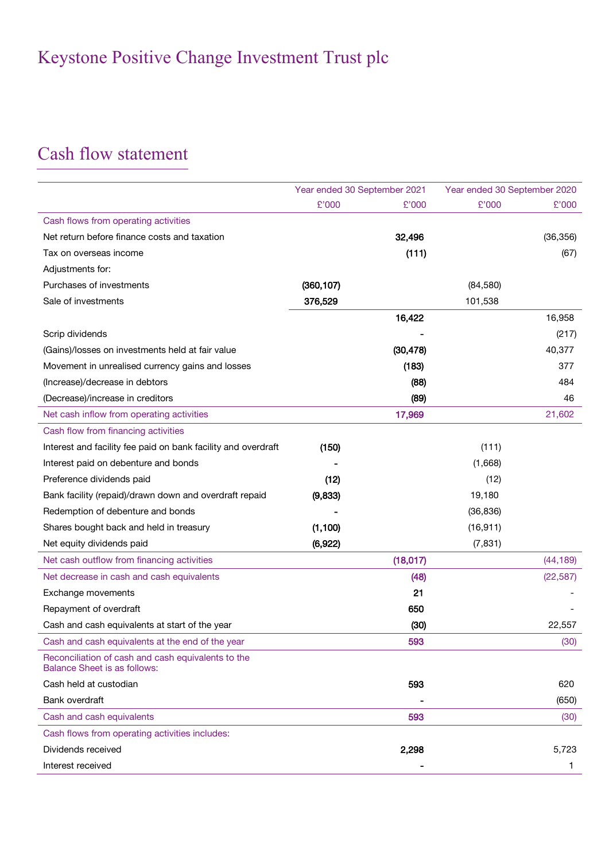# Cash flow statement

|                                                                                           | Year ended 30 September 2021 |           | Year ended 30 September 2020 |           |
|-------------------------------------------------------------------------------------------|------------------------------|-----------|------------------------------|-----------|
|                                                                                           | £'000                        | £'000     | £'000                        | £'000     |
| Cash flows from operating activities                                                      |                              |           |                              |           |
| Net return before finance costs and taxation                                              |                              | 32,496    |                              | (36, 356) |
| Tax on overseas income                                                                    |                              | (111)     |                              | (67)      |
| Adjustments for:                                                                          |                              |           |                              |           |
| Purchases of investments                                                                  | (360, 107)                   |           | (84,580)                     |           |
| Sale of investments                                                                       | 376,529                      |           | 101,538                      |           |
|                                                                                           |                              | 16,422    |                              | 16,958    |
| Scrip dividends                                                                           |                              |           |                              | (217)     |
| (Gains)/losses on investments held at fair value                                          |                              | (30, 478) |                              | 40,377    |
| Movement in unrealised currency gains and losses                                          |                              | (183)     |                              | 377       |
| (Increase)/decrease in debtors                                                            |                              | (88)      |                              | 484       |
| (Decrease)/increase in creditors                                                          |                              | (89)      |                              | 46        |
| Net cash inflow from operating activities                                                 |                              | 17,969    |                              | 21,602    |
| Cash flow from financing activities                                                       |                              |           |                              |           |
| Interest and facility fee paid on bank facility and overdraft                             | (150)                        |           | (111)                        |           |
| Interest paid on debenture and bonds                                                      |                              |           | (1,668)                      |           |
| Preference dividends paid                                                                 | (12)                         |           | (12)                         |           |
| Bank facility (repaid)/drawn down and overdraft repaid                                    | (9,833)                      |           | 19,180                       |           |
| Redemption of debenture and bonds                                                         |                              |           | (36, 836)                    |           |
| Shares bought back and held in treasury                                                   | (1, 100)                     |           | (16, 911)                    |           |
| Net equity dividends paid                                                                 | (6,922)                      |           | (7, 831)                     |           |
| Net cash outflow from financing activities                                                |                              | (18,017)  |                              | (44, 189) |
| Net decrease in cash and cash equivalents                                                 |                              | (48)      |                              | (22, 587) |
| Exchange movements                                                                        |                              | 21        |                              |           |
| Repayment of overdraft                                                                    |                              | 650       |                              |           |
| Cash and cash equivalents at start of the year                                            |                              | (30)      |                              | 22,557    |
| Cash and cash equivalents at the end of the year                                          |                              | 593       |                              | (30)      |
| Reconciliation of cash and cash equivalents to the<br><b>Balance Sheet is as follows:</b> |                              |           |                              |           |
| Cash held at custodian                                                                    |                              | 593       |                              | 620       |
| Bank overdraft                                                                            |                              |           |                              | (650)     |
| Cash and cash equivalents                                                                 |                              | 593       |                              | (30)      |
| Cash flows from operating activities includes:                                            |                              |           |                              |           |
| Dividends received                                                                        |                              | 2,298     |                              | 5,723     |
| Interest received                                                                         |                              |           |                              | 1         |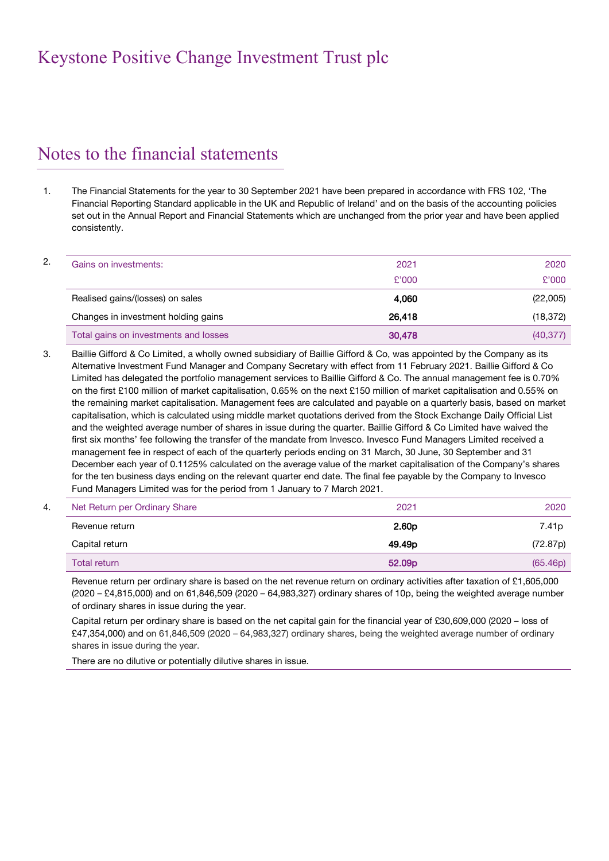# Notes to the financial statements

1. The Financial Statements for the year to 30 September 2021 have been prepared in accordance with FRS 102, 'The Financial Reporting Standard applicable in the UK and Republic of Ireland' and on the basis of the accounting policies set out in the Annual Report and Financial Statements which are unchanged from the prior year and have been applied consistently.

| Gains on investments:                 | 2021   | 2020      |
|---------------------------------------|--------|-----------|
|                                       | £'000  | £'000     |
| Realised gains/(losses) on sales      | 4.060  | (22,005)  |
| Changes in investment holding gains   | 26.418 | (18, 372) |
| Total gains on investments and losses | 30,478 | (40, 377) |

3. Baillie Gifford & Co Limited, a wholly owned subsidiary of Baillie Gifford & Co, was appointed by the Company as its Alternative Investment Fund Manager and Company Secretary with effect from 11 February 2021. Baillie Gifford & Co Limited has delegated the portfolio management services to Baillie Gifford & Co. The annual management fee is 0.70% on the first £100 million of market capitalisation, 0.65% on the next £150 million of market capitalisation and 0.55% on the remaining market capitalisation. Management fees are calculated and payable on a quarterly basis, based on market capitalisation, which is calculated using middle market quotations derived from the Stock Exchange Daily Official List and the weighted average number of shares in issue during the quarter. Baillie Gifford & Co Limited have waived the first six months' fee following the transfer of the mandate from Invesco. Invesco Fund Managers Limited received a management fee in respect of each of the quarterly periods ending on 31 March, 30 June, 30 September and 31 December each year of 0.1125% calculated on the average value of the market capitalisation of the Company's shares for the ten business days ending on the relevant quarter end date. The final fee payable by the Company to Invesco Fund Managers Limited was for the period from 1 January to 7 March 2021.

| Net Return per Ordinary Share<br>4. | 2021               | 2020              |
|-------------------------------------|--------------------|-------------------|
| Revenue return                      | 2.60 <sub>D</sub>  | 7.41 <sub>p</sub> |
| Capital return                      | 49.49 <sub>D</sub> | (72.87p)          |
| Total return                        | 52.09 <sub>p</sub> | (65.46p)          |

Revenue return per ordinary share is based on the net revenue return on ordinary activities after taxation of £1,605,000 (2020 – £4,815,000) and on 61,846,509 (2020 – 64,983,327) ordinary shares of 10p, being the weighted average number of ordinary shares in issue during the year.

Capital return per ordinary share is based on the net capital gain for the financial year of £30,609,000 (2020 – loss of £47,354,000) and on 61,846,509 (2020 – 64,983,327) ordinary shares, being the weighted average number of ordinary shares in issue during the year.

There are no dilutive or potentially dilutive shares in issue.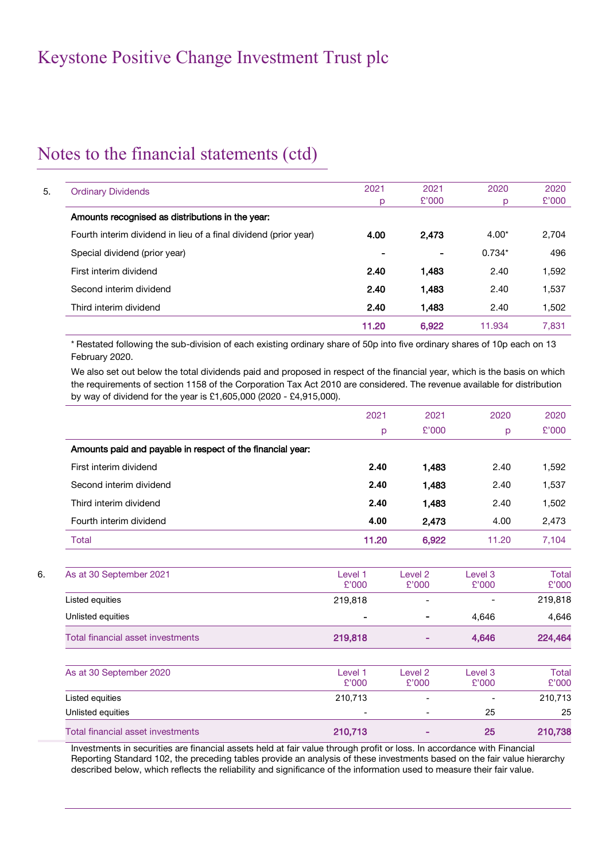# Notes to the financial statements (ctd)

| <b>Ordinary Dividends</b>                                        | 2021  | 2021           | 2020     | 2020  |
|------------------------------------------------------------------|-------|----------------|----------|-------|
|                                                                  | р     | £'000          | D        | £'000 |
| Amounts recognised as distributions in the year:                 |       |                |          |       |
| Fourth interim dividend in lieu of a final dividend (prior year) | 4.00  | 2,473          | $4.00*$  | 2,704 |
| Special dividend (prior year)                                    |       | $\blacksquare$ | $0.734*$ | 496   |
| First interim dividend                                           | 2.40  | 1,483          | 2.40     | 1,592 |
| Second interim dividend                                          | 2.40  | 1,483          | 2.40     | 1,537 |
| Third interim dividend                                           | 2.40  | 1.483          | 2.40     | 1,502 |
|                                                                  | 11.20 | 6.922          | 11.934   | 7.831 |

\* Restated following the sub-division of each existing ordinary share of 50p into five ordinary shares of 10p each on 13 February 2020.

We also set out below the total dividends paid and proposed in respect of the financial year, which is the basis on which the requirements of section 1158 of the Corporation Tax Act 2010 are considered. The revenue available for distribution by way of dividend for the year is £1,605,000 (2020 - £4,915,000).

|                                                            | 2021  | 2021  | 2020  | 2020  |
|------------------------------------------------------------|-------|-------|-------|-------|
|                                                            | p     | £'000 | p     | £'000 |
| Amounts paid and payable in respect of the financial year: |       |       |       |       |
| First interim dividend                                     | 2.40  | 1,483 | 2.40  | 1,592 |
| Second interim dividend                                    | 2.40  | 1,483 | 2.40  | 1,537 |
| Third interim dividend                                     | 2.40  | 1,483 | 2.40  | 1,502 |
| Fourth interim dividend                                    | 4.00  | 2.473 | 4.00  | 2,473 |
| Total                                                      | 11.20 | 6,922 | 11.20 | 7,104 |

6. As at 30 September 2021 Level 1 £'000 Level 2 £'000 Level 3 £'000 Total £'000 Listed equities 219,818 - - 219,818 Unlisted equities - - 4,646 4,646 Total financial asset investments **219,818** - 224,464 224,464

| As at 30 September 2020           | Level 1<br>£'000 | Level 2<br>£'000         | Level 3<br>£'000         | Total<br>£'000 |
|-----------------------------------|------------------|--------------------------|--------------------------|----------------|
| Listed equities                   | 210,713          | $\overline{\phantom{a}}$ | $\overline{\phantom{0}}$ | 210,713        |
| Unlisted equities                 | ۰                | $\overline{\phantom{0}}$ | 25                       | 25             |
| Total financial asset investments | 210,713          | -                        | 25                       | 210,738        |

Investments in securities are financial assets held at fair value through profit or loss. In accordance with Financial Reporting Standard 102, the preceding tables provide an analysis of these investments based on the fair value hierarchy described below, which reflects the reliability and significance of the information used to measure their fair value.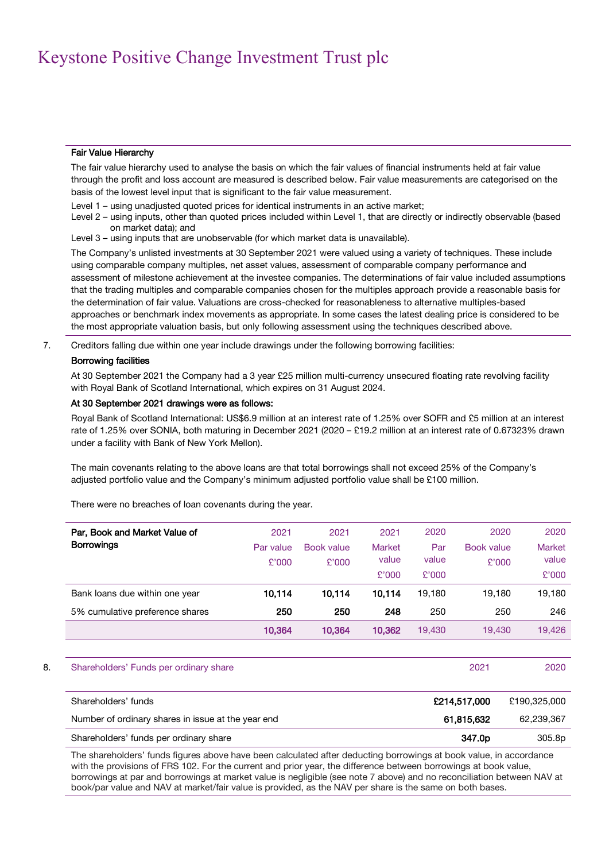### Fair Value Hierarchy

The fair value hierarchy used to analyse the basis on which the fair values of financial instruments held at fair value through the profit and loss account are measured is described below. Fair value measurements are categorised on the basis of the lowest level input that is significant to the fair value measurement.

Level 1 – using unadjusted quoted prices for identical instruments in an active market;

Level 2 – using inputs, other than quoted prices included within Level 1, that are directly or indirectly observable (based on market data); and

Level 3 – using inputs that are unobservable (for which market data is unavailable).

The Company's unlisted investments at 30 September 2021 were valued using a variety of techniques. These include using comparable company multiples, net asset values, assessment of comparable company performance and assessment of milestone achievement at the investee companies. The determinations of fair value included assumptions that the trading multiples and comparable companies chosen for the multiples approach provide a reasonable basis for the determination of fair value. Valuations are cross-checked for reasonableness to alternative multiples-based approaches or benchmark index movements as appropriate. In some cases the latest dealing price is considered to be the most appropriate valuation basis, but only following assessment using the techniques described above.

7. Creditors falling due within one year include drawings under the following borrowing facilities:

### Borrowing facilities

At 30 September 2021 the Company had a 3 year £25 million multi-currency unsecured floating rate revolving facility with Royal Bank of Scotland International, which expires on 31 August 2024.

### At 30 September 2021 drawings were as follows:

Royal Bank of Scotland International: US\$6.9 million at an interest rate of 1.25% over SOFR and £5 million at an interest rate of 1.25% over SONIA, both maturing in December 2021 (2020 – £19.2 million at an interest rate of 0.67323% drawn under a facility with Bank of New York Mellon).

The main covenants relating to the above loans are that total borrowings shall not exceed 25% of the Company's adjusted portfolio value and the Company's minimum adjusted portfolio value shall be £100 million.

There were no breaches of loan covenants during the year.

| Par, Book and Market Value of<br><b>Borrowings</b> | 2021<br>Par value<br>£'000 | 2021<br>Book value<br>£'000 | 2021<br><b>Market</b><br>value<br>£'000 | 2020<br>Par<br>value<br>£'000 | 2020<br>Book value<br>£'000 | 2020<br><b>Market</b><br>value<br>£'000 |
|----------------------------------------------------|----------------------------|-----------------------------|-----------------------------------------|-------------------------------|-----------------------------|-----------------------------------------|
| Bank loans due within one year                     | 10,114                     | 10.114                      | 10.114                                  | 19.180                        | 19.180                      | 19,180                                  |
| 5% cumulative preference shares                    | 250                        | 250                         | 248                                     | 250                           | 250                         | 246                                     |
|                                                    | 10.364                     | 10.364                      | 10,362                                  | 19,430                        | 19.430                      | 19.426                                  |

### 8. Shareholders' Funds per ordinary share 2021 2020 2021 2020

| Shareholders' funds                                | £214.517.000       | £190.325.000 |
|----------------------------------------------------|--------------------|--------------|
| Number of ordinary shares in issue at the year end | 61,815,632         | 62,239,367   |
| Shareholders' funds per ordinary share             | 347.0 <sub>p</sub> | 305.8p       |

The shareholders' funds figures above have been calculated after deducting borrowings at book value, in accordance with the provisions of FRS 102. For the current and prior year, the difference between borrowings at book value, borrowings at par and borrowings at market value is negligible (see note 7 above) and no reconciliation between NAV at book/par value and NAV at market/fair value is provided, as the NAV per share is the same on both bases.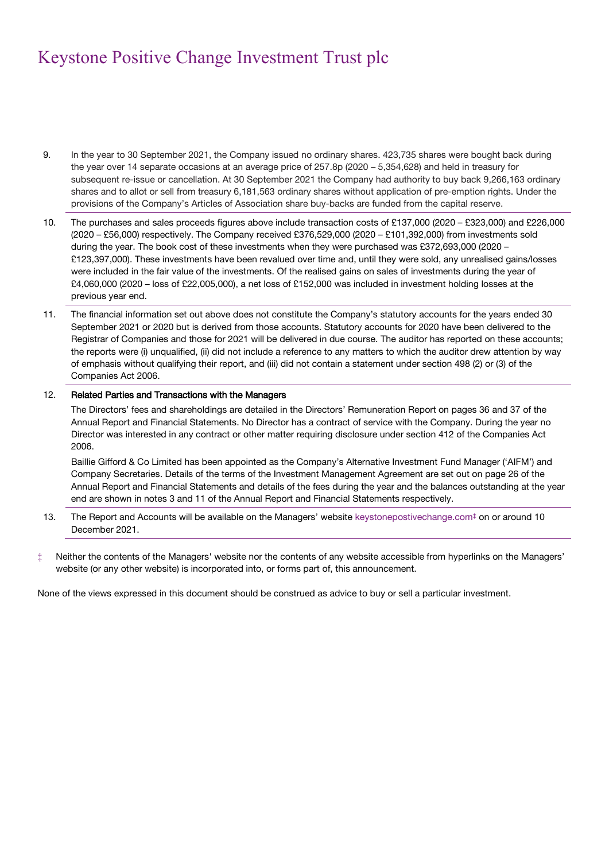- 9. In the year to 30 September 2021, the Company issued no ordinary shares. 423,735 shares were bought back during the year over 14 separate occasions at an average price of 257.8p (2020 – 5,354,628) and held in treasury for subsequent re-issue or cancellation. At 30 September 2021 the Company had authority to buy back 9,266,163 ordinary shares and to allot or sell from treasury 6,181,563 ordinary shares without application of pre-emption rights. Under the provisions of the Company's Articles of Association share buy-backs are funded from the capital reserve.
- 10. The purchases and sales proceeds figures above include transaction costs of £137,000 (2020 £323,000) and £226,000 (2020 – £56,000) respectively. The Company received £376,529,000 (2020 – £101,392,000) from investments sold during the year. The book cost of these investments when they were purchased was £372,693,000 (2020 – £123,397,000). These investments have been revalued over time and, until they were sold, any unrealised gains/losses were included in the fair value of the investments. Of the realised gains on sales of investments during the year of £4,060,000 (2020 – loss of £22,005,000), a net loss of £152,000 was included in investment holding losses at the previous year end.
- 11. The financial information set out above does not constitute the Company's statutory accounts for the years ended 30 September 2021 or 2020 but is derived from those accounts. Statutory accounts for 2020 have been delivered to the Registrar of Companies and those for 2021 will be delivered in due course. The auditor has reported on these accounts; the reports were (i) unqualified, (ii) did not include a reference to any matters to which the auditor drew attention by way of emphasis without qualifying their report, and (iii) did not contain a statement under section 498 (2) or (3) of the Companies Act 2006.

### 12. Related Parties and Transactions with the Managers

The Directors' fees and shareholdings are detailed in the Directors' Remuneration Report on pages 36 and 37 of the Annual Report and Financial Statements. No Director has a contract of service with the Company. During the year no Director was interested in any contract or other matter requiring disclosure under section 412 of the Companies Act 2006.

Baillie Gifford & Co Limited has been appointed as the Company's Alternative Investment Fund Manager ('AIFM') and Company Secretaries. Details of the terms of the Investment Management Agreement are set out on page 26 of the Annual Report and Financial Statements and details of the fees during the year and the balances outstanding at the year end are shown in notes 3 and 11 of the Annual Report and Financial Statements respectively.

- 13. The Report and Accounts will be available on the Managers' website keystonepostivechange.com<sup>‡</sup> on or around 10 December 2021.
- ‡ Neither the contents of the Managers' website nor the contents of any website accessible from hyperlinks on the Managers' website (or any other website) is incorporated into, or forms part of, this announcement.

None of the views expressed in this document should be construed as advice to buy or sell a particular investment.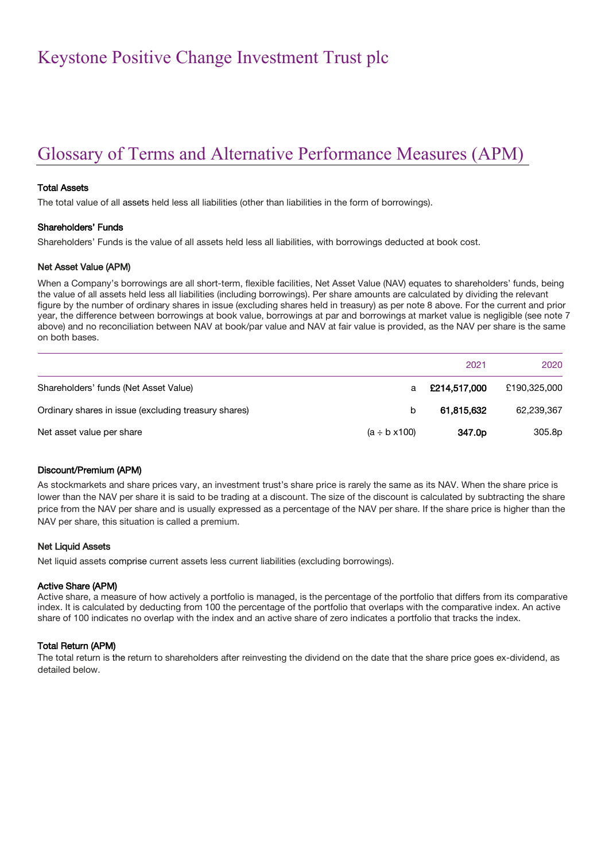# Glossary of Terms and Alternative Performance Measures (APM)

### Total Assets

The total value of all assets held less all liabilities (other than liabilities in the form of borrowings).

### Shareholders' Funds

Shareholders' Funds is the value of all assets held less all liabilities, with borrowings deducted at book cost.

### Net Asset Value (APM)

When a Company's borrowings are all short-term, flexible facilities, Net Asset Value (NAV) equates to shareholders' funds, being the value of all assets held less all liabilities (including borrowings). Per share amounts are calculated by dividing the relevant figure by the number of ordinary shares in issue (excluding shares held in treasury) as per note 8 above. For the current and prior year, the difference between borrowings at book value, borrowings at par and borrowings at market value is negligible (see note 7 above) and no reconciliation between NAV at book/par value and NAV at fair value is provided, as the NAV per share is the same on both bases.

|                                                      |                         | 2021               | 2020         |
|------------------------------------------------------|-------------------------|--------------------|--------------|
| Shareholders' funds (Net Asset Value)                | a                       | £214,517,000       | £190,325,000 |
| Ordinary shares in issue (excluding treasury shares) | b                       | 61.815.632         | 62,239,367   |
| Net asset value per share                            | $(a \div b \times 100)$ | 347.0 <sub>p</sub> | 305.8p       |

### Discount/Premium (APM)

As stockmarkets and share prices vary, an investment trust's share price is rarely the same as its NAV. When the share price is lower than the NAV per share it is said to be trading at a discount. The size of the discount is calculated by subtracting the share price from the NAV per share and is usually expressed as a percentage of the NAV per share. If the share price is higher than the NAV per share, this situation is called a premium.

### Net Liquid Assets

Net liquid assets comprise current assets less current liabilities (excluding borrowings).

#### Active Share (APM)

Active share, a measure of how actively a portfolio is managed, is the percentage of the portfolio that differs from its comparative index. It is calculated by deducting from 100 the percentage of the portfolio that overlaps with the comparative index. An active share of 100 indicates no overlap with the index and an active share of zero indicates a portfolio that tracks the index.

### Total Return (APM)

The total return is the return to shareholders after reinvesting the dividend on the date that the share price goes ex-dividend, as detailed below.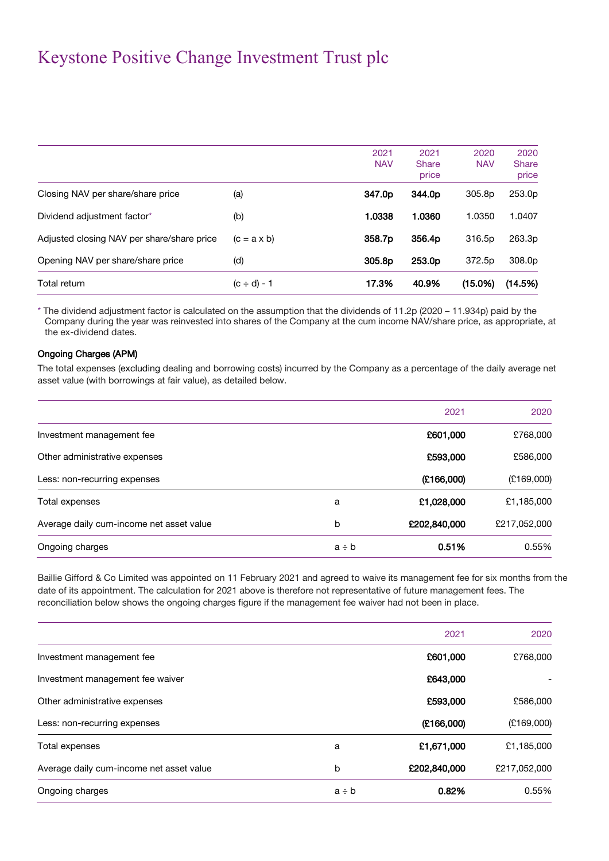|                                            |                    | 2021<br><b>NAV</b> | 2021<br><b>Share</b> | 2020<br><b>NAV</b> | 2020<br><b>Share</b> |
|--------------------------------------------|--------------------|--------------------|----------------------|--------------------|----------------------|
|                                            |                    |                    | price                |                    | price                |
| Closing NAV per share/share price          | (a)                | 347.0p             | 344.0p               | 305.8p             | 253.0p               |
| Dividend adjustment factor*                | (b)                | 1.0338             | 1.0360               | 1.0350             | 1.0407               |
| Adjusted closing NAV per share/share price | $(c = a \times b)$ | 358.7p             | 356.4p               | 316.5p             | 263.3p               |
| Opening NAV per share/share price          | (d)                | 305.8p             | 253.0p               | 372.5p             | 308.0p               |
| Total return                               | $(c \div d) - 1$   | 17.3%              | 40.9%                | (15.0%)            | (14.5%)              |

\* The dividend adjustment factor is calculated on the assumption that the dividends of 11.2p (2020 – 11.934p) paid by the Company during the year was reinvested into shares of the Company at the cum income NAV/share price, as appropriate, at the ex-dividend dates.

### Ongoing Charges (APM)

The total expenses (excluding dealing and borrowing costs) incurred by the Company as a percentage of the daily average net asset value (with borrowings at fair value), as detailed below.

|                                          |            | 2021         | 2020         |
|------------------------------------------|------------|--------------|--------------|
| Investment management fee                |            | £601,000     | £768,000     |
| Other administrative expenses            |            | £593,000     | £586,000     |
| Less: non-recurring expenses             |            | (E166,000)   | (E169,000)   |
| Total expenses                           | a          | £1,028,000   | £1,185,000   |
| Average daily cum-income net asset value | b          | £202,840,000 | £217,052,000 |
| Ongoing charges                          | $a \div b$ | 0.51%        | 0.55%        |

Baillie Gifford & Co Limited was appointed on 11 February 2021 and agreed to waive its management fee for six months from the date of its appointment. The calculation for 2021 above is therefore not representative of future management fees. The reconciliation below shows the ongoing charges figure if the management fee waiver had not been in place.

|                                          |            | 2021         | 2020         |
|------------------------------------------|------------|--------------|--------------|
| Investment management fee                |            | £601,000     | £768,000     |
| Investment management fee waiver         |            | £643,000     |              |
| Other administrative expenses            |            | £593,000     | £586,000     |
| Less: non-recurring expenses             |            | (E166,000)   | (E169,000)   |
| Total expenses                           | a          | £1,671,000   | £1,185,000   |
| Average daily cum-income net asset value | b          | £202,840,000 | £217,052,000 |
| Ongoing charges                          | $a \div b$ | 0.82%        | 0.55%        |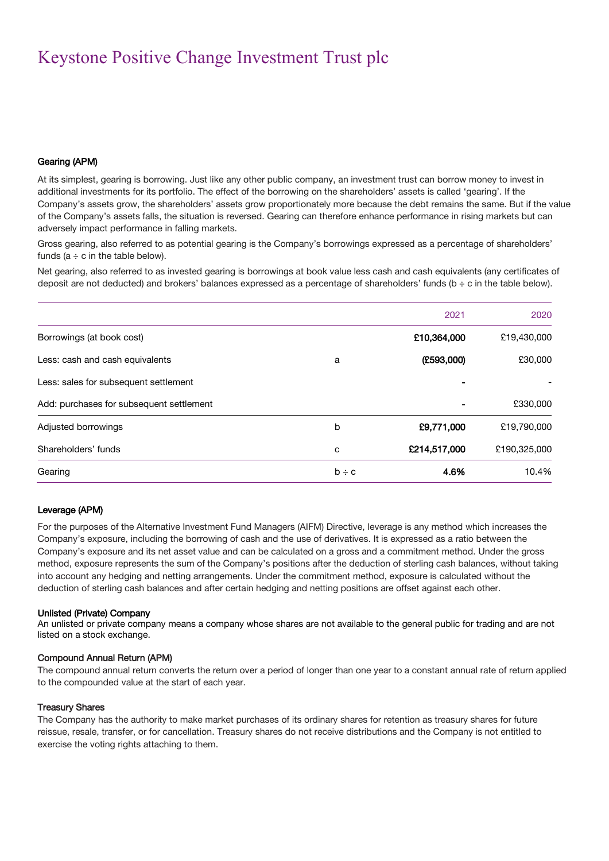### Gearing (APM)

At its simplest, gearing is borrowing. Just like any other public company, an investment trust can borrow money to invest in additional investments for its portfolio. The effect of the borrowing on the shareholders' assets is called 'gearing'. If the Company's assets grow, the shareholders' assets grow proportionately more because the debt remains the same. But if the value of the Company's assets falls, the situation is reversed. Gearing can therefore enhance performance in rising markets but can adversely impact performance in falling markets.

Gross gearing, also referred to as potential gearing is the Company's borrowings expressed as a percentage of shareholders' funds ( $a \div c$  in the table below).

Net gearing, also referred to as invested gearing is borrowings at book value less cash and cash equivalents (any certificates of deposit are not deducted) and brokers' balances expressed as a percentage of shareholders' funds (b ÷ c in the table below).

|                                          |            | 2021         | 2020         |
|------------------------------------------|------------|--------------|--------------|
| Borrowings (at book cost)                |            | £10,364,000  | £19,430,000  |
| Less: cash and cash equivalents          | a          | (£593,000)   | £30,000      |
| Less: sales for subsequent settlement    |            |              |              |
| Add: purchases for subsequent settlement |            |              | £330,000     |
| Adjusted borrowings                      | b          | £9,771,000   | £19,790,000  |
| Shareholders' funds                      | C          | £214,517,000 | £190,325,000 |
| Gearing                                  | $b \div c$ | 4.6%         | 10.4%        |

### Leverage (APM)

For the purposes of the Alternative Investment Fund Managers (AIFM) Directive, leverage is any method which increases the Company's exposure, including the borrowing of cash and the use of derivatives. It is expressed as a ratio between the Company's exposure and its net asset value and can be calculated on a gross and a commitment method. Under the gross method, exposure represents the sum of the Company's positions after the deduction of sterling cash balances, without taking into account any hedging and netting arrangements. Under the commitment method, exposure is calculated without the deduction of sterling cash balances and after certain hedging and netting positions are offset against each other.

### Unlisted (Private) Company

An unlisted or private company means a company whose shares are not available to the general public for trading and are not listed on a stock exchange.

### Compound Annual Return (APM)

The compound annual return converts the return over a period of longer than one year to a constant annual rate of return applied to the compounded value at the start of each year.

### Treasury Shares

The Company has the authority to make market purchases of its ordinary shares for retention as treasury shares for future reissue, resale, transfer, or for cancellation. Treasury shares do not receive distributions and the Company is not entitled to exercise the voting rights attaching to them.